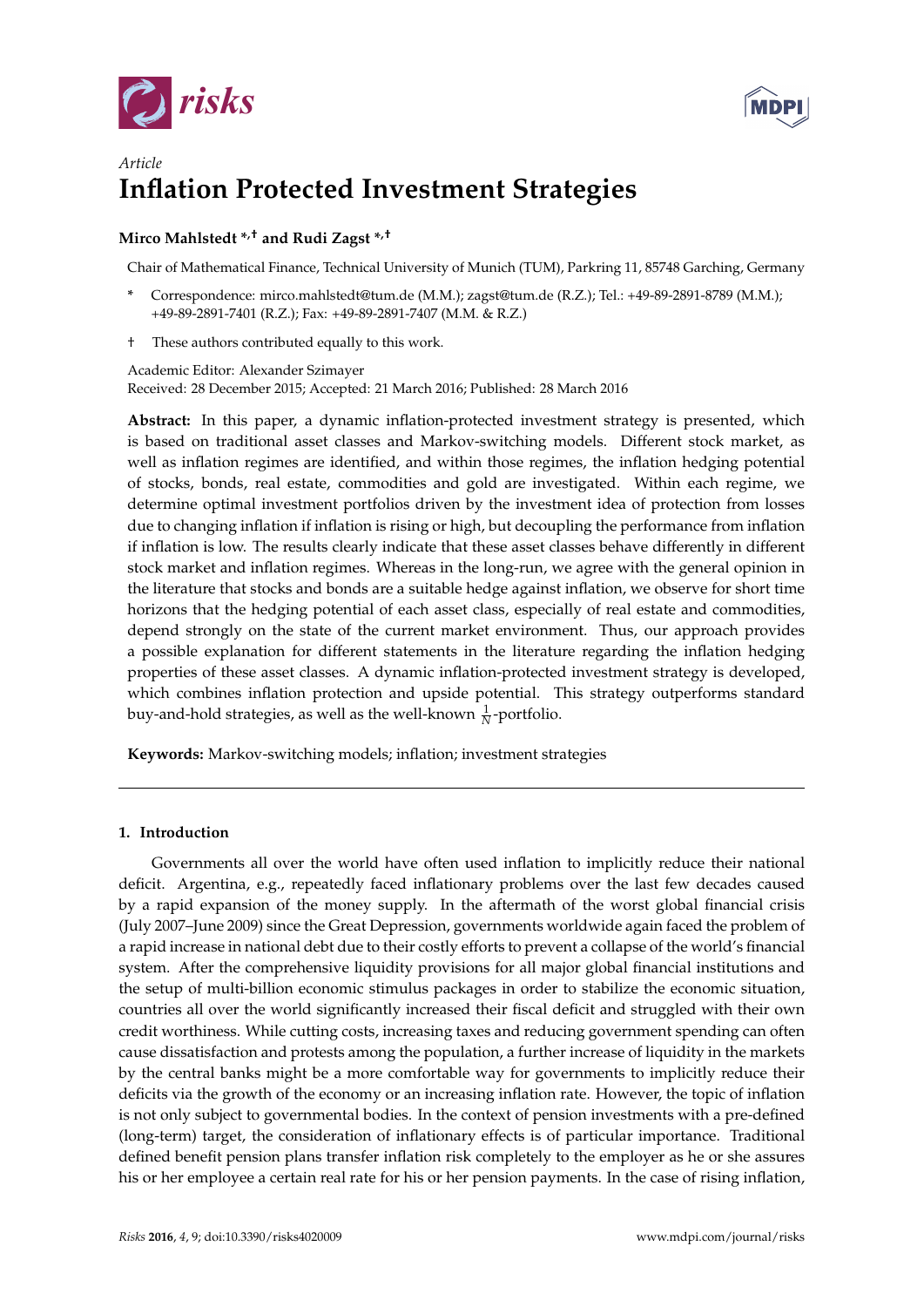



# *Article* **Inflation Protected Investment Strategies**

# **Mirco Mahlstedt \*,† and Rudi Zagst \*,†**

Chair of Mathematical Finance, Technical University of Munich (TUM), Parkring 11, 85748 Garching, Germany

- **\*** Correspondence: mirco.mahlstedt@tum.de (M.M.); zagst@tum.de (R.Z.); Tel.: +49-89-2891-8789 (M.M.); +49-89-2891-7401 (R.Z.); Fax: +49-89-2891-7407 (M.M. & R.Z.)
- † These authors contributed equally to this work.

Academic Editor: Alexander Szimayer Received: 28 December 2015; Accepted: 21 March 2016; Published: 28 March 2016

**Abstract:** In this paper, a dynamic inflation-protected investment strategy is presented, which is based on traditional asset classes and Markov-switching models. Different stock market, as well as inflation regimes are identified, and within those regimes, the inflation hedging potential of stocks, bonds, real estate, commodities and gold are investigated. Within each regime, we determine optimal investment portfolios driven by the investment idea of protection from losses due to changing inflation if inflation is rising or high, but decoupling the performance from inflation if inflation is low. The results clearly indicate that these asset classes behave differently in different stock market and inflation regimes. Whereas in the long-run, we agree with the general opinion in the literature that stocks and bonds are a suitable hedge against inflation, we observe for short time horizons that the hedging potential of each asset class, especially of real estate and commodities, depend strongly on the state of the current market environment. Thus, our approach provides a possible explanation for different statements in the literature regarding the inflation hedging properties of these asset classes. A dynamic inflation-protected investment strategy is developed, which combines inflation protection and upside potential. This strategy outperforms standard buy-and-hold strategies, as well as the well-known  $\frac{1}{N}$ -portfolio.

**Keywords:** Markov-switching models; inflation; investment strategies

# **1. Introduction**

Governments all over the world have often used inflation to implicitly reduce their national deficit. Argentina, e.g., repeatedly faced inflationary problems over the last few decades caused by a rapid expansion of the money supply. In the aftermath of the worst global financial crisis (July 2007–June 2009) since the Great Depression, governments worldwide again faced the problem of a rapid increase in national debt due to their costly efforts to prevent a collapse of the world's financial system. After the comprehensive liquidity provisions for all major global financial institutions and the setup of multi-billion economic stimulus packages in order to stabilize the economic situation, countries all over the world significantly increased their fiscal deficit and struggled with their own credit worthiness. While cutting costs, increasing taxes and reducing government spending can often cause dissatisfaction and protests among the population, a further increase of liquidity in the markets by the central banks might be a more comfortable way for governments to implicitly reduce their deficits via the growth of the economy or an increasing inflation rate. However, the topic of inflation is not only subject to governmental bodies. In the context of pension investments with a pre-defined (long-term) target, the consideration of inflationary effects is of particular importance. Traditional defined benefit pension plans transfer inflation risk completely to the employer as he or she assures his or her employee a certain real rate for his or her pension payments. In the case of rising inflation,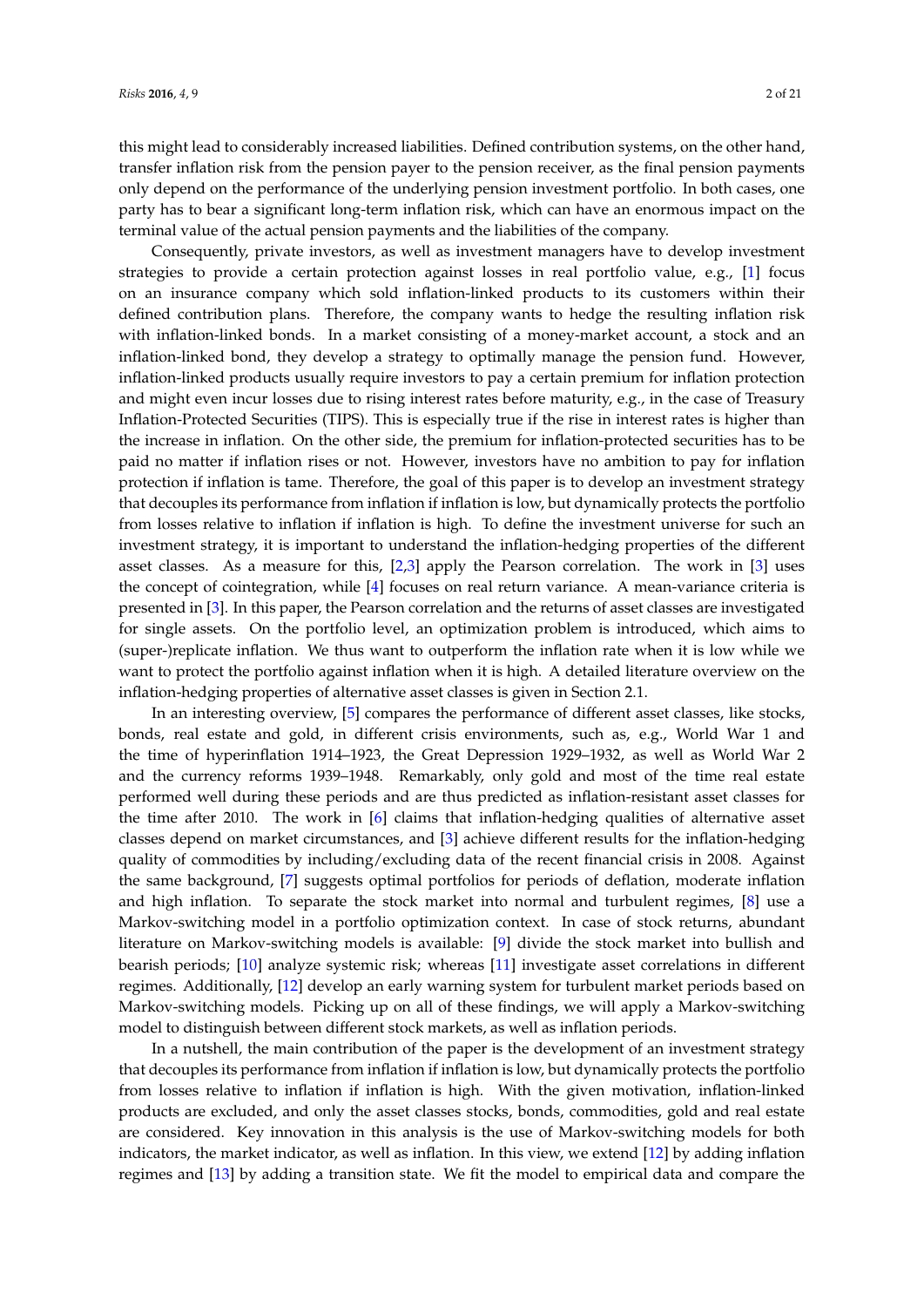this might lead to considerably increased liabilities. Defined contribution systems, on the other hand, transfer inflation risk from the pension payer to the pension receiver, as the final pension payments only depend on the performance of the underlying pension investment portfolio. In both cases, one party has to bear a significant long-term inflation risk, which can have an enormous impact on the terminal value of the actual pension payments and the liabilities of the company.

Consequently, private investors, as well as investment managers have to develop investment strategies to provide a certain protection against losses in real portfolio value, e.g., [\[1\]](#page-19-0) focus on an insurance company which sold inflation-linked products to its customers within their defined contribution plans. Therefore, the company wants to hedge the resulting inflation risk with inflation-linked bonds. In a market consisting of a money-market account, a stock and an inflation-linked bond, they develop a strategy to optimally manage the pension fund. However, inflation-linked products usually require investors to pay a certain premium for inflation protection and might even incur losses due to rising interest rates before maturity, e.g., in the case of Treasury Inflation-Protected Securities (TIPS). This is especially true if the rise in interest rates is higher than the increase in inflation. On the other side, the premium for inflation-protected securities has to be paid no matter if inflation rises or not. However, investors have no ambition to pay for inflation protection if inflation is tame. Therefore, the goal of this paper is to develop an investment strategy that decouples its performance from inflation if inflation is low, but dynamically protects the portfolio from losses relative to inflation if inflation is high. To define the investment universe for such an investment strategy, it is important to understand the inflation-hedging properties of the different asset classes. As a measure for this, [\[2](#page-19-1)[,3\]](#page-19-2) apply the Pearson correlation. The work in [\[3\]](#page-19-2) uses the concept of cointegration, while [\[4\]](#page-19-3) focuses on real return variance. A mean-variance criteria is presented in [\[3\]](#page-19-2). In this paper, the Pearson correlation and the returns of asset classes are investigated for single assets. On the portfolio level, an optimization problem is introduced, which aims to (super-)replicate inflation. We thus want to outperform the inflation rate when it is low while we want to protect the portfolio against inflation when it is high. A detailed literature overview on the inflation-hedging properties of alternative asset classes is given in Section 2.1.

In an interesting overview, [\[5\]](#page-19-4) compares the performance of different asset classes, like stocks, bonds, real estate and gold, in different crisis environments, such as, e.g., World War 1 and the time of hyperinflation 1914–1923, the Great Depression 1929–1932, as well as World War 2 and the currency reforms 1939–1948. Remarkably, only gold and most of the time real estate performed well during these periods and are thus predicted as inflation-resistant asset classes for the time after 2010. The work in [\[6\]](#page-19-5) claims that inflation-hedging qualities of alternative asset classes depend on market circumstances, and [\[3\]](#page-19-2) achieve different results for the inflation-hedging quality of commodities by including/excluding data of the recent financial crisis in 2008. Against the same background, [\[7\]](#page-19-6) suggests optimal portfolios for periods of deflation, moderate inflation and high inflation. To separate the stock market into normal and turbulent regimes, [\[8\]](#page-19-7) use a Markov-switching model in a portfolio optimization context. In case of stock returns, abundant literature on Markov-switching models is available: [\[9\]](#page-19-8) divide the stock market into bullish and bearish periods; [\[10\]](#page-20-0) analyze systemic risk; whereas [\[11\]](#page-20-1) investigate asset correlations in different regimes. Additionally, [\[12\]](#page-20-2) develop an early warning system for turbulent market periods based on Markov-switching models. Picking up on all of these findings, we will apply a Markov-switching model to distinguish between different stock markets, as well as inflation periods.

In a nutshell, the main contribution of the paper is the development of an investment strategy that decouples its performance from inflation if inflation is low, but dynamically protects the portfolio from losses relative to inflation if inflation is high. With the given motivation, inflation-linked products are excluded, and only the asset classes stocks, bonds, commodities, gold and real estate are considered. Key innovation in this analysis is the use of Markov-switching models for both indicators, the market indicator, as well as inflation. In this view, we extend [\[12\]](#page-20-2) by adding inflation regimes and [\[13\]](#page-20-3) by adding a transition state. We fit the model to empirical data and compare the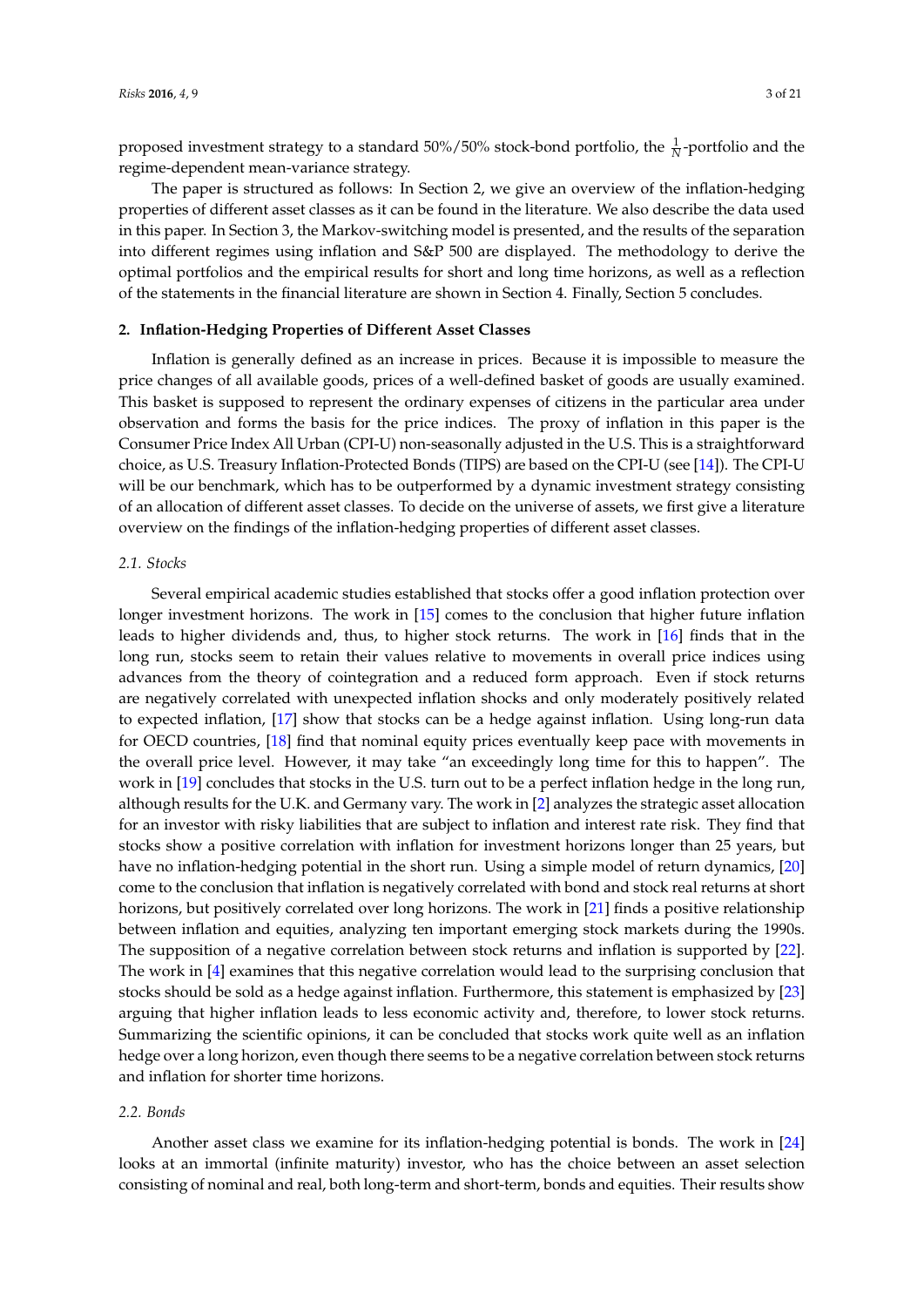proposed investment strategy to a standard 50%/50% stock-bond portfolio, the  $\frac{1}{N}$ -portfolio and the regime-dependent mean-variance strategy.

The paper is structured as follows: In Section 2, we give an overview of the inflation-hedging properties of different asset classes as it can be found in the literature. We also describe the data used in this paper. In Section 3, the Markov-switching model is presented, and the results of the separation into different regimes using inflation and S&P 500 are displayed. The methodology to derive the optimal portfolios and the empirical results for short and long time horizons, as well as a reflection of the statements in the financial literature are shown in Section 4. Finally, Section 5 concludes.

## **2. Inflation-Hedging Properties of Different Asset Classes**

Inflation is generally defined as an increase in prices. Because it is impossible to measure the price changes of all available goods, prices of a well-defined basket of goods are usually examined. This basket is supposed to represent the ordinary expenses of citizens in the particular area under observation and forms the basis for the price indices. The proxy of inflation in this paper is the Consumer Price Index All Urban (CPI-U) non-seasonally adjusted in the U.S. This is a straightforward choice, as U.S. Treasury Inflation-Protected Bonds (TIPS) are based on the CPI-U (see [\[14\]](#page-20-4)). The CPI-U will be our benchmark, which has to be outperformed by a dynamic investment strategy consisting of an allocation of different asset classes. To decide on the universe of assets, we first give a literature overview on the findings of the inflation-hedging properties of different asset classes.

#### *2.1. Stocks*

Several empirical academic studies established that stocks offer a good inflation protection over longer investment horizons. The work in [\[15\]](#page-20-5) comes to the conclusion that higher future inflation leads to higher dividends and, thus, to higher stock returns. The work in [\[16\]](#page-20-6) finds that in the long run, stocks seem to retain their values relative to movements in overall price indices using advances from the theory of cointegration and a reduced form approach. Even if stock returns are negatively correlated with unexpected inflation shocks and only moderately positively related to expected inflation, [\[17\]](#page-20-7) show that stocks can be a hedge against inflation. Using long-run data for OECD countries, [\[18\]](#page-20-8) find that nominal equity prices eventually keep pace with movements in the overall price level. However, it may take "an exceedingly long time for this to happen". The work in [\[19\]](#page-20-9) concludes that stocks in the U.S. turn out to be a perfect inflation hedge in the long run, although results for the U.K. and Germany vary. The work in [\[2\]](#page-19-1) analyzes the strategic asset allocation for an investor with risky liabilities that are subject to inflation and interest rate risk. They find that stocks show a positive correlation with inflation for investment horizons longer than 25 years, but have no inflation-hedging potential in the short run. Using a simple model of return dynamics, [\[20\]](#page-20-10) come to the conclusion that inflation is negatively correlated with bond and stock real returns at short horizons, but positively correlated over long horizons. The work in [\[21\]](#page-20-11) finds a positive relationship between inflation and equities, analyzing ten important emerging stock markets during the 1990s. The supposition of a negative correlation between stock returns and inflation is supported by [\[22\]](#page-20-12). The work in [\[4\]](#page-19-3) examines that this negative correlation would lead to the surprising conclusion that stocks should be sold as a hedge against inflation. Furthermore, this statement is emphasized by [\[23\]](#page-20-13) arguing that higher inflation leads to less economic activity and, therefore, to lower stock returns. Summarizing the scientific opinions, it can be concluded that stocks work quite well as an inflation hedge over a long horizon, even though there seems to be a negative correlation between stock returns and inflation for shorter time horizons.

## *2.2. Bonds*

Another asset class we examine for its inflation-hedging potential is bonds. The work in [\[24\]](#page-20-14) looks at an immortal (infinite maturity) investor, who has the choice between an asset selection consisting of nominal and real, both long-term and short-term, bonds and equities. Their results show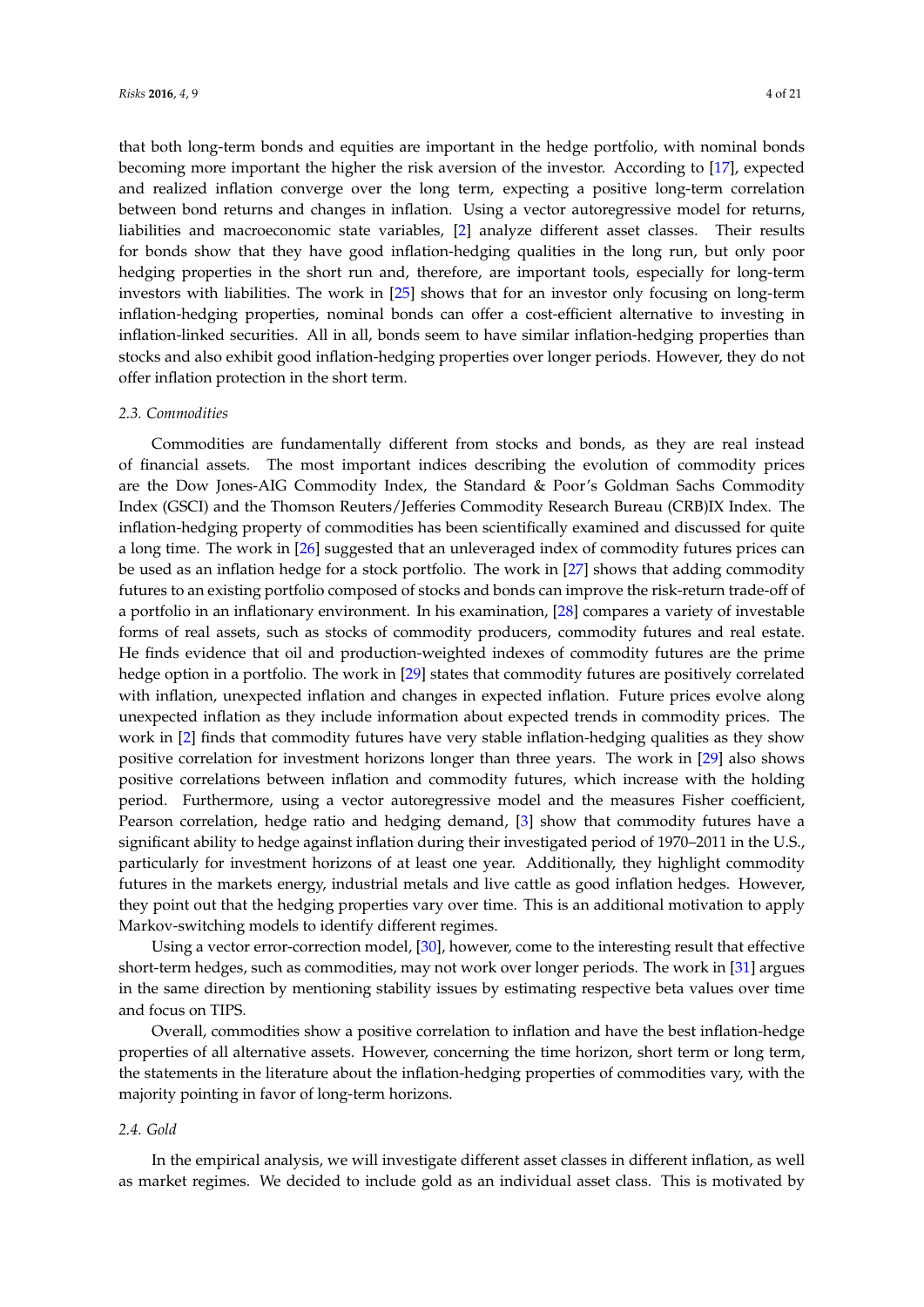that both long-term bonds and equities are important in the hedge portfolio, with nominal bonds becoming more important the higher the risk aversion of the investor. According to [\[17\]](#page-20-7), expected and realized inflation converge over the long term, expecting a positive long-term correlation between bond returns and changes in inflation. Using a vector autoregressive model for returns, liabilities and macroeconomic state variables, [\[2\]](#page-19-1) analyze different asset classes. Their results for bonds show that they have good inflation-hedging qualities in the long run, but only poor hedging properties in the short run and, therefore, are important tools, especially for long-term investors with liabilities. The work in [\[25\]](#page-20-15) shows that for an investor only focusing on long-term inflation-hedging properties, nominal bonds can offer a cost-efficient alternative to investing in inflation-linked securities. All in all, bonds seem to have similar inflation-hedging properties than stocks and also exhibit good inflation-hedging properties over longer periods. However, they do not offer inflation protection in the short term.

#### *2.3. Commodities*

Commodities are fundamentally different from stocks and bonds, as they are real instead of financial assets. The most important indices describing the evolution of commodity prices are the Dow Jones-AIG Commodity Index, the Standard & Poor's Goldman Sachs Commodity Index (GSCI) and the Thomson Reuters/Jefferies Commodity Research Bureau (CRB)IX Index. The inflation-hedging property of commodities has been scientifically examined and discussed for quite a long time. The work in [\[26\]](#page-20-16) suggested that an unleveraged index of commodity futures prices can be used as an inflation hedge for a stock portfolio. The work in [\[27\]](#page-20-17) shows that adding commodity futures to an existing portfolio composed of stocks and bonds can improve the risk-return trade-off of a portfolio in an inflationary environment. In his examination, [\[28\]](#page-20-18) compares a variety of investable forms of real assets, such as stocks of commodity producers, commodity futures and real estate. He finds evidence that oil and production-weighted indexes of commodity futures are the prime hedge option in a portfolio. The work in [\[29\]](#page-20-19) states that commodity futures are positively correlated with inflation, unexpected inflation and changes in expected inflation. Future prices evolve along unexpected inflation as they include information about expected trends in commodity prices. The work in [\[2\]](#page-19-1) finds that commodity futures have very stable inflation-hedging qualities as they show positive correlation for investment horizons longer than three years. The work in [\[29\]](#page-20-19) also shows positive correlations between inflation and commodity futures, which increase with the holding period. Furthermore, using a vector autoregressive model and the measures Fisher coefficient, Pearson correlation, hedge ratio and hedging demand, [\[3\]](#page-19-2) show that commodity futures have a significant ability to hedge against inflation during their investigated period of 1970–2011 in the U.S., particularly for investment horizons of at least one year. Additionally, they highlight commodity futures in the markets energy, industrial metals and live cattle as good inflation hedges. However, they point out that the hedging properties vary over time. This is an additional motivation to apply Markov-switching models to identify different regimes.

Using a vector error-correction model, [\[30\]](#page-20-20), however, come to the interesting result that effective short-term hedges, such as commodities, may not work over longer periods. The work in [\[31\]](#page-20-21) argues in the same direction by mentioning stability issues by estimating respective beta values over time and focus on TIPS.

Overall, commodities show a positive correlation to inflation and have the best inflation-hedge properties of all alternative assets. However, concerning the time horizon, short term or long term, the statements in the literature about the inflation-hedging properties of commodities vary, with the majority pointing in favor of long-term horizons.

## *2.4. Gold*

In the empirical analysis, we will investigate different asset classes in different inflation, as well as market regimes. We decided to include gold as an individual asset class. This is motivated by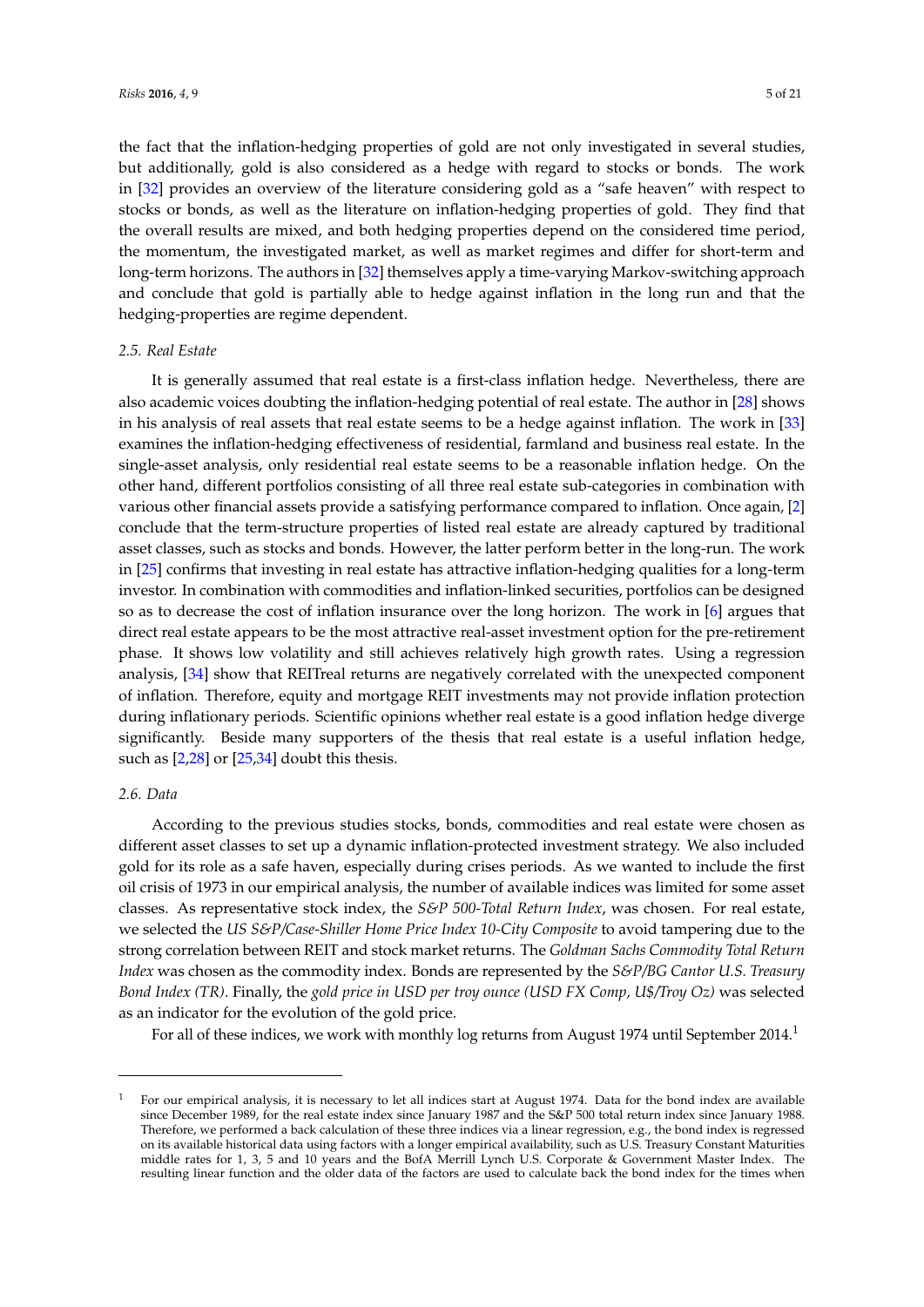the fact that the inflation-hedging properties of gold are not only investigated in several studies, but additionally, gold is also considered as a hedge with regard to stocks or bonds. The work in [\[32\]](#page-20-22) provides an overview of the literature considering gold as a "safe heaven" with respect to stocks or bonds, as well as the literature on inflation-hedging properties of gold. They find that the overall results are mixed, and both hedging properties depend on the considered time period, the momentum, the investigated market, as well as market regimes and differ for short-term and long-term horizons. The authors in [\[32\]](#page-20-22) themselves apply a time-varying Markov-switching approach and conclude that gold is partially able to hedge against inflation in the long run and that the hedging-properties are regime dependent.

#### *2.5. Real Estate*

It is generally assumed that real estate is a first-class inflation hedge. Nevertheless, there are also academic voices doubting the inflation-hedging potential of real estate. The author in [\[28\]](#page-20-18) shows in his analysis of real assets that real estate seems to be a hedge against inflation. The work in [\[33\]](#page-20-23) examines the inflation-hedging effectiveness of residential, farmland and business real estate. In the single-asset analysis, only residential real estate seems to be a reasonable inflation hedge. On the other hand, different portfolios consisting of all three real estate sub-categories in combination with various other financial assets provide a satisfying performance compared to inflation. Once again, [\[2\]](#page-19-1) conclude that the term-structure properties of listed real estate are already captured by traditional asset classes, such as stocks and bonds. However, the latter perform better in the long-run. The work in [\[25\]](#page-20-15) confirms that investing in real estate has attractive inflation-hedging qualities for a long-term investor. In combination with commodities and inflation-linked securities, portfolios can be designed so as to decrease the cost of inflation insurance over the long horizon. The work in [\[6\]](#page-19-5) argues that direct real estate appears to be the most attractive real-asset investment option for the pre-retirement phase. It shows low volatility and still achieves relatively high growth rates. Using a regression analysis, [\[34\]](#page-20-24) show that REITreal returns are negatively correlated with the unexpected component of inflation. Therefore, equity and mortgage REIT investments may not provide inflation protection during inflationary periods. Scientific opinions whether real estate is a good inflation hedge diverge significantly. Beside many supporters of the thesis that real estate is a useful inflation hedge, such as [\[2](#page-19-1)[,28\]](#page-20-18) or [\[25](#page-20-15)[,34\]](#page-20-24) doubt this thesis.

#### *2.6. Data*

According to the previous studies stocks, bonds, commodities and real estate were chosen as different asset classes to set up a dynamic inflation-protected investment strategy. We also included gold for its role as a safe haven, especially during crises periods. As we wanted to include the first oil crisis of 1973 in our empirical analysis, the number of available indices was limited for some asset classes. As representative stock index, the *S&P 500-Total Return Index*, was chosen. For real estate, we selected the *US S&P/Case-Shiller Home Price Index 10-City Composite* to avoid tampering due to the strong correlation between REIT and stock market returns. The *Goldman Sachs Commodity Total Return Index* was chosen as the commodity index. Bonds are represented by the *S&P/BG Cantor U.S. Treasury Bond Index (TR)*. Finally, the *gold price in USD per troy ounce (USD FX Comp, U\$/Troy Oz)* was selected as an indicator for the evolution of the gold price.

For all of these indices, we work with monthly log returns from August 1974 until September 2014.<sup>1</sup>

<sup>1</sup> For our empirical analysis, it is necessary to let all indices start at August 1974. Data for the bond index are available since December 1989, for the real estate index since January 1987 and the S&P 500 total return index since January 1988. Therefore, we performed a back calculation of these three indices via a linear regression, e.g., the bond index is regressed on its available historical data using factors with a longer empirical availability, such as U.S. Treasury Constant Maturities middle rates for 1, 3, 5 and 10 years and the BofA Merrill Lynch U.S. Corporate & Government Master Index. The resulting linear function and the older data of the factors are used to calculate back the bond index for the times when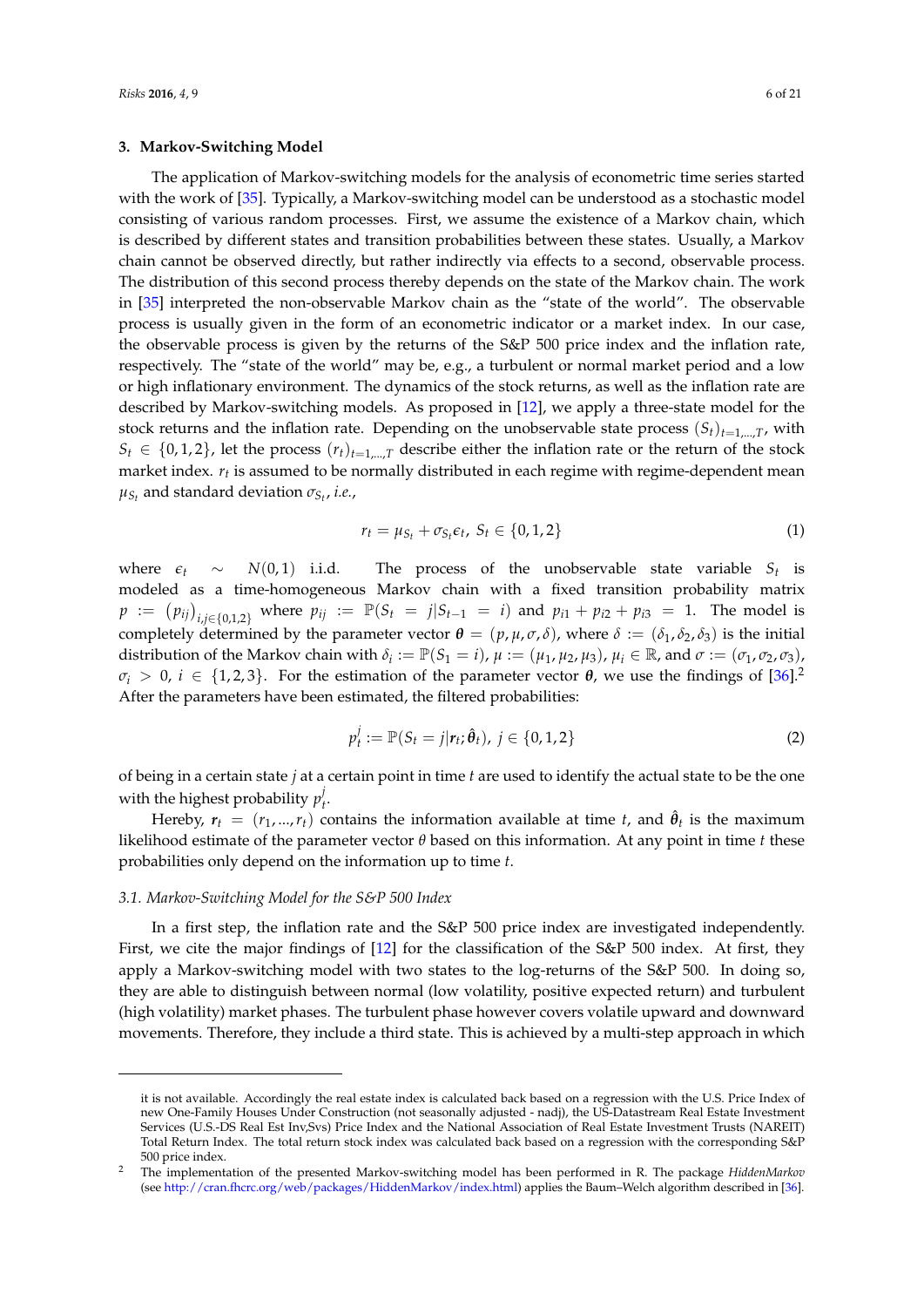## **3. Markov-Switching Model**

The application of Markov-switching models for the analysis of econometric time series started with the work of [\[35\]](#page-20-25). Typically, a Markov-switching model can be understood as a stochastic model consisting of various random processes. First, we assume the existence of a Markov chain, which is described by different states and transition probabilities between these states. Usually, a Markov chain cannot be observed directly, but rather indirectly via effects to a second, observable process. The distribution of this second process thereby depends on the state of the Markov chain. The work in [\[35\]](#page-20-25) interpreted the non-observable Markov chain as the "state of the world". The observable process is usually given in the form of an econometric indicator or a market index. In our case, the observable process is given by the returns of the S&P 500 price index and the inflation rate, respectively. The "state of the world" may be, e.g., a turbulent or normal market period and a low or high inflationary environment. The dynamics of the stock returns, as well as the inflation rate are described by Markov-switching models. As proposed in [\[12\]](#page-20-2), we apply a three-state model for the stock returns and the inflation rate. Depending on the unobservable state process  $(S_t)_{t=1,\dots,T}$ , with  $S_t \in \{0, 1, 2\}$ , let the process  $(r_t)_{t=1,\dots,T}$  describe either the inflation rate or the return of the stock market index. *r<sup>t</sup>* is assumed to be normally distributed in each regime with regime-dependent mean  $\mu_{S_t}$  and standard deviation  $\sigma_{S_t}$ , *i.e.*,

$$
r_t = \mu_{S_t} + \sigma_{S_t} \epsilon_t, \ S_t \in \{0, 1, 2\} \tag{1}
$$

where  $\epsilon_t \sim N(0, 1)$  i.i.d. The process of the unobservable state variable  $S_t$  is modeled as a time-homogeneous Markov chain with a fixed transition probability matrix  $p := (p_{ij})_{i,j \in \{0,1,2\}}$  where  $p_{ij} := \mathbb{P}(S_t = j | S_{t-1} = i)$  and  $p_{i1} + p_{i2} + p_{i3} = 1$ . The model is completely determined by the parameter vector  $\theta = (p, \mu, \sigma, \delta)$ , where  $\delta := (\delta_1, \delta_2, \delta_3)$  is the initial distribution of the Markov chain with  $\delta_i := \mathbb{P}(S_1 = i)$ ,  $\mu := (\mu_1, \mu_2, \mu_3)$ ,  $\mu_i \in \mathbb{R}$ , and  $\sigma := (\sigma_1, \sigma_2, \sigma_3)$ , *σ*<sub>*i*</sub> > 0, *i* ∈ {1, 2, 3}. For the estimation of the parameter vector *θ*, we use the findings of [\[36\]](#page-20-26).<sup>2</sup> After the parameters have been estimated, the filtered probabilities:

$$
p_t^j := \mathbb{P}(S_t = j | r_t; \hat{\theta}_t), j \in \{0, 1, 2\}
$$
 (2)

of being in a certain state *j* at a certain point in time *t* are used to identify the actual state to be the one with the highest probability  $p_l^j$ *t* .

Hereby,  $r_t = (r_1, ..., r_t)$  contains the information available at time *t*, and  $\hat{\theta}_t$  is the maximum likelihood estimate of the parameter vector *θ* based on this information. At any point in time *t* these probabilities only depend on the information up to time *t*.

#### *3.1. Markov-Switching Model for the S&P 500 Index*

In a first step, the inflation rate and the S&P 500 price index are investigated independently. First, we cite the major findings of [\[12\]](#page-20-2) for the classification of the S&P 500 index. At first, they apply a Markov-switching model with two states to the log-returns of the S&P 500. In doing so, they are able to distinguish between normal (low volatility, positive expected return) and turbulent (high volatility) market phases. The turbulent phase however covers volatile upward and downward movements. Therefore, they include a third state. This is achieved by a multi-step approach in which

it is not available. Accordingly the real estate index is calculated back based on a regression with the U.S. Price Index of new One-Family Houses Under Construction (not seasonally adjusted - nadj), the US-Datastream Real Estate Investment Services (U.S.-DS Real Est Inv,Svs) Price Index and the National Association of Real Estate Investment Trusts (NAREIT) Total Return Index. The total return stock index was calculated back based on a regression with the corresponding S&P 500 price index.

<sup>2</sup> The implementation of the presented Markov-switching model has been performed in R. The package *HiddenMarkov* (see [http://cran.fhcrc.org/web/packages/HiddenMarkov/index.html\)](http://cran.fhcrc.org/web/packages/HiddenMarkov/index.html) applies the Baum–Welch algorithm described in [\[36\]](#page-20-26).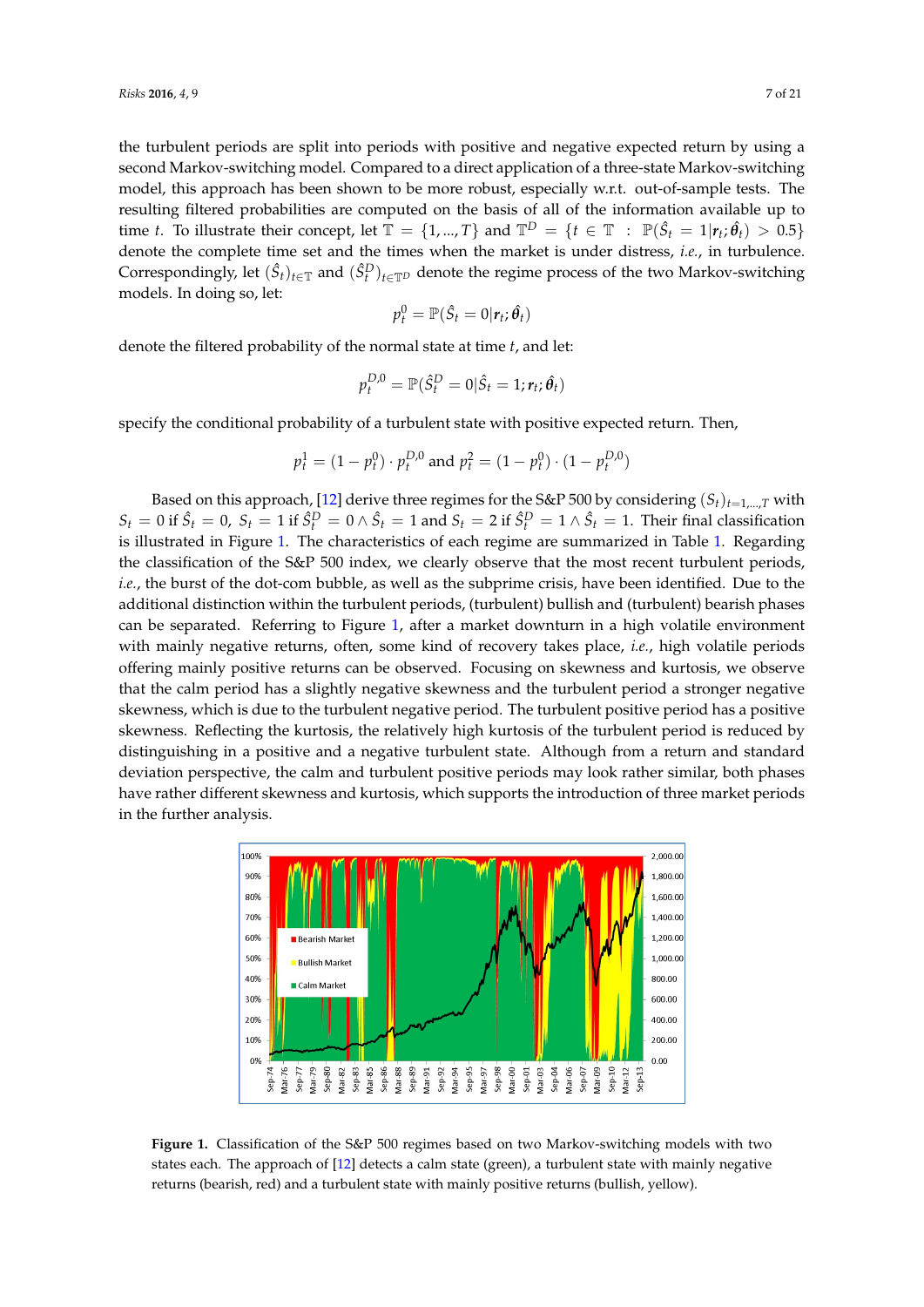the turbulent periods are split into periods with positive and negative expected return by using a second Markov-switching model. Compared to a direct application of a three-state Markov-switching model, this approach has been shown to be more robust, especially w.r.t. out-of-sample tests. The resulting filtered probabilities are computed on the basis of all of the information available up to time *t*. To illustrate their concept, let  $\mathbb{T} = \{1, ..., T\}$  and  $\mathbb{T}^D = \{t \in \mathbb{T} : \mathbb{P}(\hat{S}_t = 1 | r_t; \hat{\theta}_t) > 0.5\}$ denote the complete time set and the times when the market is under distress, *i.e.*, in turbulence. Correspondingly, let  $(\hat{S}_t)_{t \in \mathbb{T}}$  and  $(\hat{S}_t^D)_{t \in \mathbb{T}^D}$  denote the regime process of the two Markov-switching models. In doing so, let:

$$
p_t^0 = \mathbb{P}(\hat{S}_t = 0 | \mathbf{r}_t; \hat{\boldsymbol{\theta}}_t)
$$

denote the filtered probability of the normal state at time *t*, and let:

$$
p_t^{D,0} = \mathbb{P}(\hat{S}_t^D = 0 | \hat{S}_t = 1; r_t; \hat{\theta}_t)
$$

specify the conditional probability of a turbulent state with positive expected return. Then,

$$
p_t^1 = (1 - p_t^0) \cdot p_t^{D,0} \text{ and } p_t^2 = (1 - p_t^0) \cdot (1 - p_t^{D,0})
$$

Based on this approach, [\[12\]](#page-20-2) derive three regimes for the S&P 500 by considering  $(S_t)_{t=1,\dots,T}$  with  $S_t = 0$  if  $\hat{S}_t = 0$ ,  $S_t = 1$  if  $\hat{S}_t^D = 0 \wedge \hat{S}_t = 1$  and  $S_t = 2$  if  $\hat{S}_t^D = 1 \wedge \hat{S}_t = 1$ . Their final classification is illustrated in Figure [1.](#page-6-0) The characteristics of each regime are summarized in Table [1.](#page-7-0) Regarding the classification of the S&P 500 index, we clearly observe that the most recent turbulent periods, *i.e.*, the burst of the dot-com bubble, as well as the subprime crisis, have been identified. Due to the additional distinction within the turbulent periods, (turbulent) bullish and (turbulent) bearish phases can be separated. Referring to Figure [1,](#page-6-0) after a market downturn in a high volatile environment with mainly negative returns, often, some kind of recovery takes place, *i.e.*, high volatile periods offering mainly positive returns can be observed. Focusing on skewness and kurtosis, we observe that the calm period has a slightly negative skewness and the turbulent period a stronger negative skewness, which is due to the turbulent negative period. The turbulent positive period has a positive skewness. Reflecting the kurtosis, the relatively high kurtosis of the turbulent period is reduced by distinguishing in a positive and a negative turbulent state. Although from a return and standard deviation perspective, the calm and turbulent positive periods may look rather similar, both phases have rather different skewness and kurtosis, which supports the introduction of three market periods in the further analysis.

<span id="page-6-0"></span>

**Figure 1.** Classification of the S&P 500 regimes based on two Markov-switching models with two states each. The approach of [\[12\]](#page-20-2) detects a calm state (green), a turbulent state with mainly negative returns (bearish, red) and a turbulent state with mainly positive returns (bullish, yellow).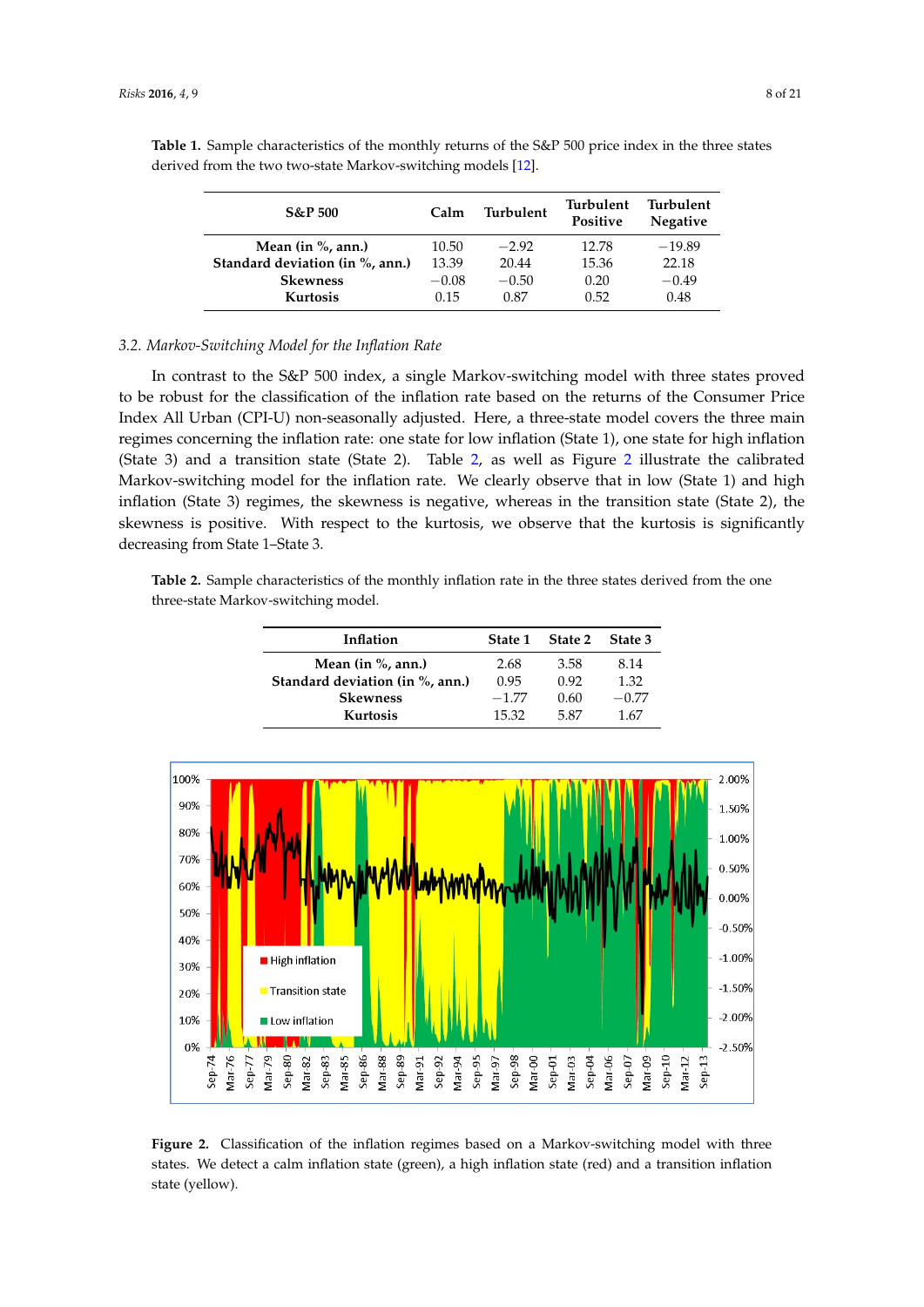| $S\&P500$                       | Calm    | Turbulent | Turbulent<br>Positive | Turbulent<br><b>Negative</b> |  |
|---------------------------------|---------|-----------|-----------------------|------------------------------|--|
| Mean (in $\%$ , ann.)           | 10.50   | $-2.92$   | 12.78                 | $-19.89$                     |  |
| Standard deviation (in %, ann.) | 13.39   | 20.44     | 15.36                 | 22.18                        |  |
| <b>Skewness</b>                 | $-0.08$ | $-0.50$   | 0.20                  | $-0.49$                      |  |
| <b>Kurtosis</b>                 | 0.15    | 0.87      | 0.52                  | 0.48                         |  |

<span id="page-7-0"></span>**Table 1.** Sample characteristics of the monthly returns of the S&P 500 price index in the three states derived from the two two-state Markov-switching models [\[12\]](#page-20-2).

## *3.2. Markov-Switching Model for the Inflation Rate*

In contrast to the S&P 500 index, a single Markov-switching model with three states proved to be robust for the classification of the inflation rate based on the returns of the Consumer Price Index All Urban (CPI-U) non-seasonally adjusted. Here, a three-state model covers the three main regimes concerning the inflation rate: one state for low inflation (State 1), one state for high inflation (State 3) and a transition state (State 2). Table [2,](#page-7-1) as well as Figure [2](#page-7-2) illustrate the calibrated Markov-switching model for the inflation rate. We clearly observe that in low (State 1) and high inflation (State 3) regimes, the skewness is negative, whereas in the transition state (State 2), the skewness is positive. With respect to the kurtosis, we observe that the kurtosis is significantly decreasing from State 1–State 3.

<span id="page-7-1"></span>**Table 2.** Sample characteristics of the monthly inflation rate in the three states derived from the one three-state Markov-switching model.

| Inflation                       | State 1 | State 2 | State 3 |
|---------------------------------|---------|---------|---------|
| Mean $(in %, ann.)$             | 2.68    | 3.58    | 8.14    |
| Standard deviation (in %, ann.) | 0.95    | 0.92    | 1.32    |
| <b>Skewness</b>                 | $-1.77$ | 0.60    | $-0.77$ |
| Kurtosis                        | 15.32   | 5.87    | 1.67    |

<span id="page-7-2"></span>

**Figure 2.** Classification of the inflation regimes based on a Markov-switching model with three states. We detect a calm inflation state (green), a high inflation state (red) and a transition inflation state (yellow).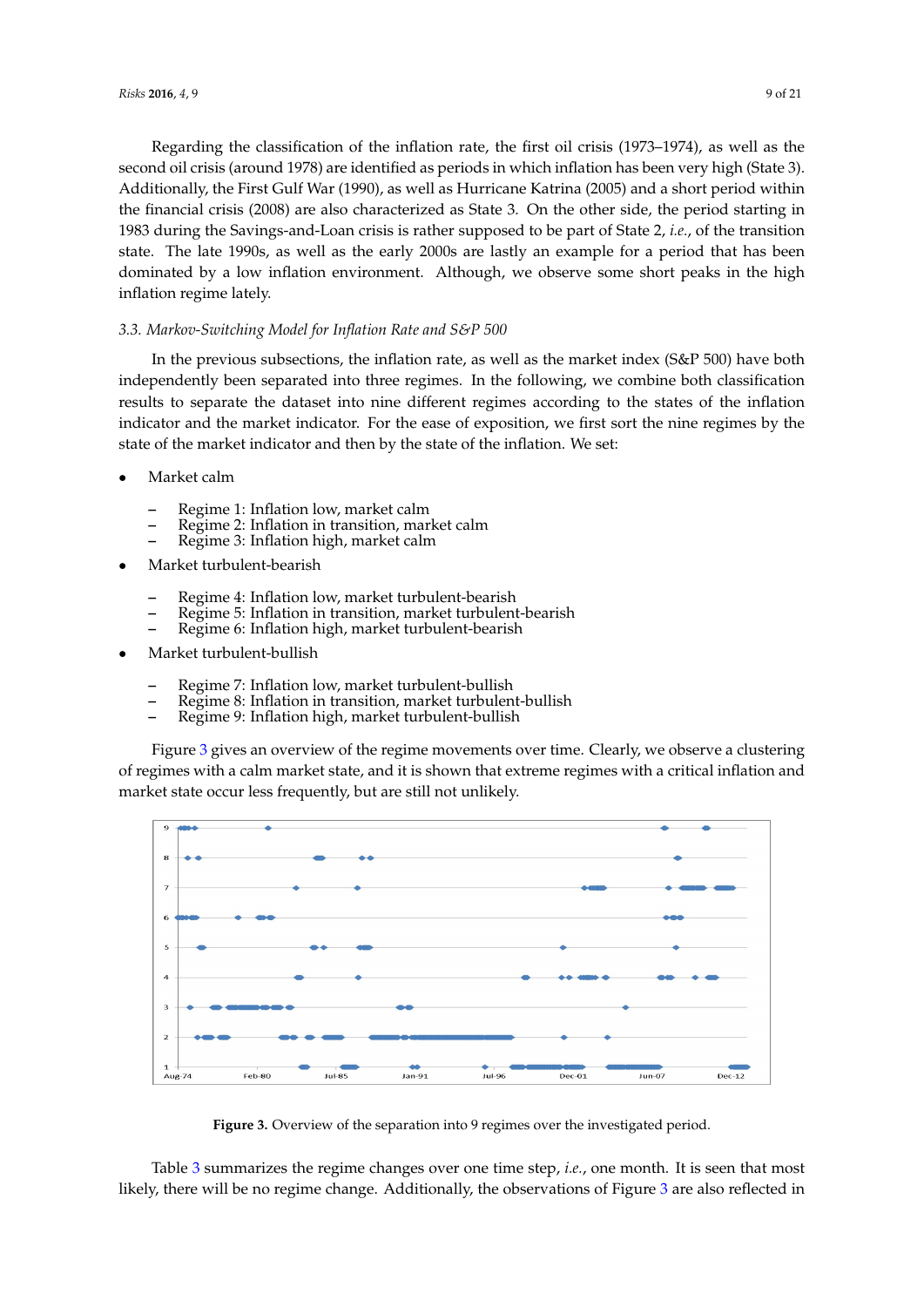Regarding the classification of the inflation rate, the first oil crisis (1973–1974), as well as the second oil crisis (around 1978) are identified as periods in which inflation has been very high (State 3). Additionally, the First Gulf War (1990), as well as Hurricane Katrina (2005) and a short period within the financial crisis (2008) are also characterized as State 3. On the other side, the period starting in 1983 during the Savings-and-Loan crisis is rather supposed to be part of State 2, *i.e.*, of the transition state. The late 1990s, as well as the early 2000s are lastly an example for a period that has been dominated by a low inflation environment. Although, we observe some short peaks in the high inflation regime lately.

# *3.3. Markov-Switching Model for Inflation Rate and S&P 500*

In the previous subsections, the inflation rate, as well as the market index (S&P 500) have both independently been separated into three regimes. In the following, we combine both classification results to separate the dataset into nine different regimes according to the states of the inflation indicator and the market indicator. For the ease of exposition, we first sort the nine regimes by the state of the market indicator and then by the state of the inflation. We set:

- Market calm
	- **–** Regime 1: Inflation low, market calm
	- **–** Regime 2: Inflation in transition, market calm
	- **–** Regime 3: Inflation high, market calm
- Market turbulent-bearish
	- **–** Regime 4: Inflation low, market turbulent-bearish
	- **–** Regime 5: Inflation in transition, market turbulent-bearish
	- **–** Regime 6: Inflation high, market turbulent-bearish
- Market turbulent-bullish
	- **–** Regime 7: Inflation low, market turbulent-bullish
	- **–** Regime 8: Inflation in transition, market turbulent-bullish
	- **–** Regime 9: Inflation high, market turbulent-bullish

Figure [3](#page-8-0) gives an overview of the regime movements over time. Clearly, we observe a clustering of regimes with a calm market state, and it is shown that extreme regimes with a critical inflation and market state occur less frequently, but are still not unlikely.

<span id="page-8-0"></span>

**Figure 3.** Overview of the separation into 9 regimes over the investigated period.

Table [3](#page-9-0) summarizes the regime changes over one time step, *i.e.*, one month. It is seen that most likely, there will be no regime change. Additionally, the observations of Figure [3](#page-8-0) are also reflected in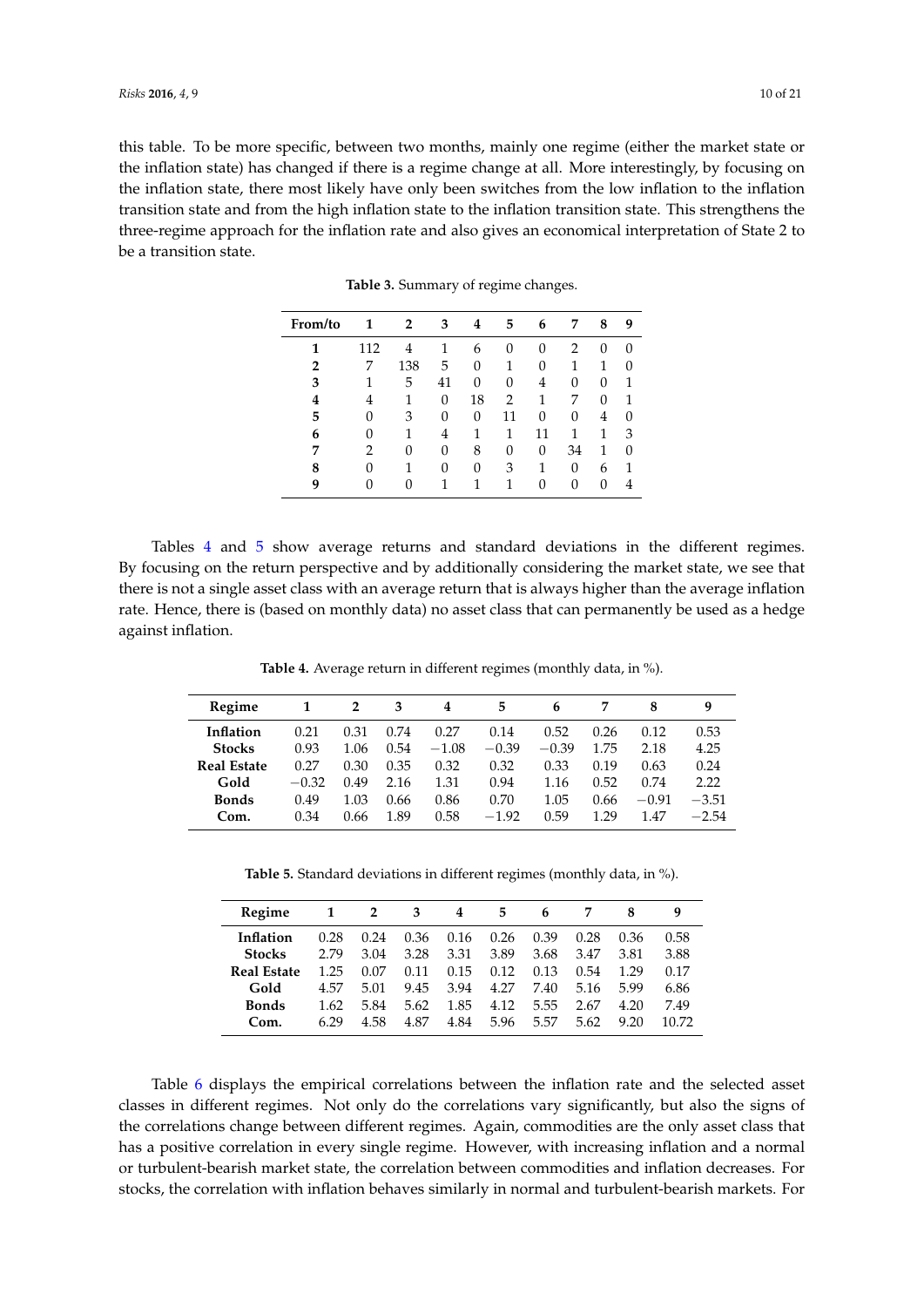<span id="page-9-0"></span>this table. To be more specific, between two months, mainly one regime (either the market state or the inflation state) has changed if there is a regime change at all. More interestingly, by focusing on the inflation state, there most likely have only been switches from the low inflation to the inflation transition state and from the high inflation state to the inflation transition state. This strengthens the three-regime approach for the inflation rate and also gives an economical interpretation of State 2 to be a transition state.

| From/to | 1   | 2   | 3  | 4  | 5              | 6  | 7  | 8 | 9 |
|---------|-----|-----|----|----|----------------|----|----|---|---|
| 1       | 112 | 4   |    | 6  | 0              | 0  | 2  | 0 |   |
| 2       |     | 138 | 5  | 0  | 1              | 0  |    | 1 |   |
| 3       |     | 5   | 41 | 0  | 0              | 4  | 0  | 0 |   |
| 4       | 4   | 1   | 0  | 18 | $\overline{2}$ | 1  | 7  | 0 |   |
| 5       | 0   | 3   | 0  | 0  | 11             | 0  | 0  | 4 |   |
| 6       | 0   | 1   | 4  | 1  | 1              | 11 | 1  | 1 | З |
| 7       | 2   | 0   | 0  | 8  | 0              | 0  | 34 | 1 |   |
| 8       | 0   |     | 0  | 0  | 3              |    | 0  | 6 |   |
| 9       | 0   | 0   |    |    | 1              | 0  | 0  | 0 |   |

**Table 3.** Summary of regime changes.

Tables [4](#page-9-1) and [5](#page-9-2) show average returns and standard deviations in the different regimes. By focusing on the return perspective and by additionally considering the market state, we see that there is not a single asset class with an average return that is always higher than the average inflation rate. Hence, there is (based on monthly data) no asset class that can permanently be used as a hedge against inflation.

**Table 4.** Average return in different regimes (monthly data, in %).

<span id="page-9-1"></span>

| Regime             |         | $\overline{2}$ | 3    | 4       | 5       | 6       |      | 8       | q       |
|--------------------|---------|----------------|------|---------|---------|---------|------|---------|---------|
| Inflation          | 0.21    | 0.31           | 0.74 | 0.27    | 0.14    | 0.52    | 0.26 | 0.12    | 0.53    |
| <b>Stocks</b>      | 0.93    | 1.06           | 0.54 | $-1.08$ | $-0.39$ | $-0.39$ | 1.75 | 2.18    | 4.25    |
| <b>Real Estate</b> | 0.27    | 0.30           | 0.35 | 0.32    | 0.32    | 0.33    | 0.19 | 0.63    | 0.24    |
| Gold               | $-0.32$ | 0.49           | 2.16 | 1.31    | 0.94    | 1.16    | 0.52 | 0.74    | 2.22    |
| <b>Bonds</b>       | 0.49    | 1.03           | 0.66 | 0.86    | 0.70    | 1.05    | 0.66 | $-0.91$ | $-3.51$ |
| Com.               | 0.34    | 0.66           | 1.89 | 0.58    | $-1.92$ | 0.59    | 1 29 | 1.47    | $-2.54$ |

**Table 5.** Standard deviations in different regimes (monthly data, in %).

<span id="page-9-2"></span>

| Regime        |      | 2    | 3    | 4    | 5    | 6    |      | 8    | q     |
|---------------|------|------|------|------|------|------|------|------|-------|
| Inflation     | 0.28 | 0.24 | 0.36 | 0.16 | 0.26 | 0.39 | 0.28 | 0.36 | 0.58  |
| <b>Stocks</b> | 2.79 | 3.04 | 3.28 | 3.31 | 3.89 | 3.68 | 3.47 | 3.81 | 3.88  |
| Real Estate   | 1.25 | 0.07 | 0.11 | 0.15 | 0.12 | 0.13 | 0.54 | 1.29 | 0.17  |
| Gold          | 4.57 | 5.01 | 9.45 | 3.94 | 4.27 | 7.40 | 5.16 | 5.99 | 6.86  |
| <b>Bonds</b>  | 1.62 | 5.84 | 5.62 | 1.85 | 4.12 | 5.55 | 2.67 | 4.20 | 7.49  |
| Com.          | 6.29 | 4.58 | 4.87 | 4.84 | 5.96 | 5.57 | 5.62 | 9.20 | 10.72 |

Table [6](#page-10-0) displays the empirical correlations between the inflation rate and the selected asset classes in different regimes. Not only do the correlations vary significantly, but also the signs of the correlations change between different regimes. Again, commodities are the only asset class that has a positive correlation in every single regime. However, with increasing inflation and a normal or turbulent-bearish market state, the correlation between commodities and inflation decreases. For stocks, the correlation with inflation behaves similarly in normal and turbulent-bearish markets. For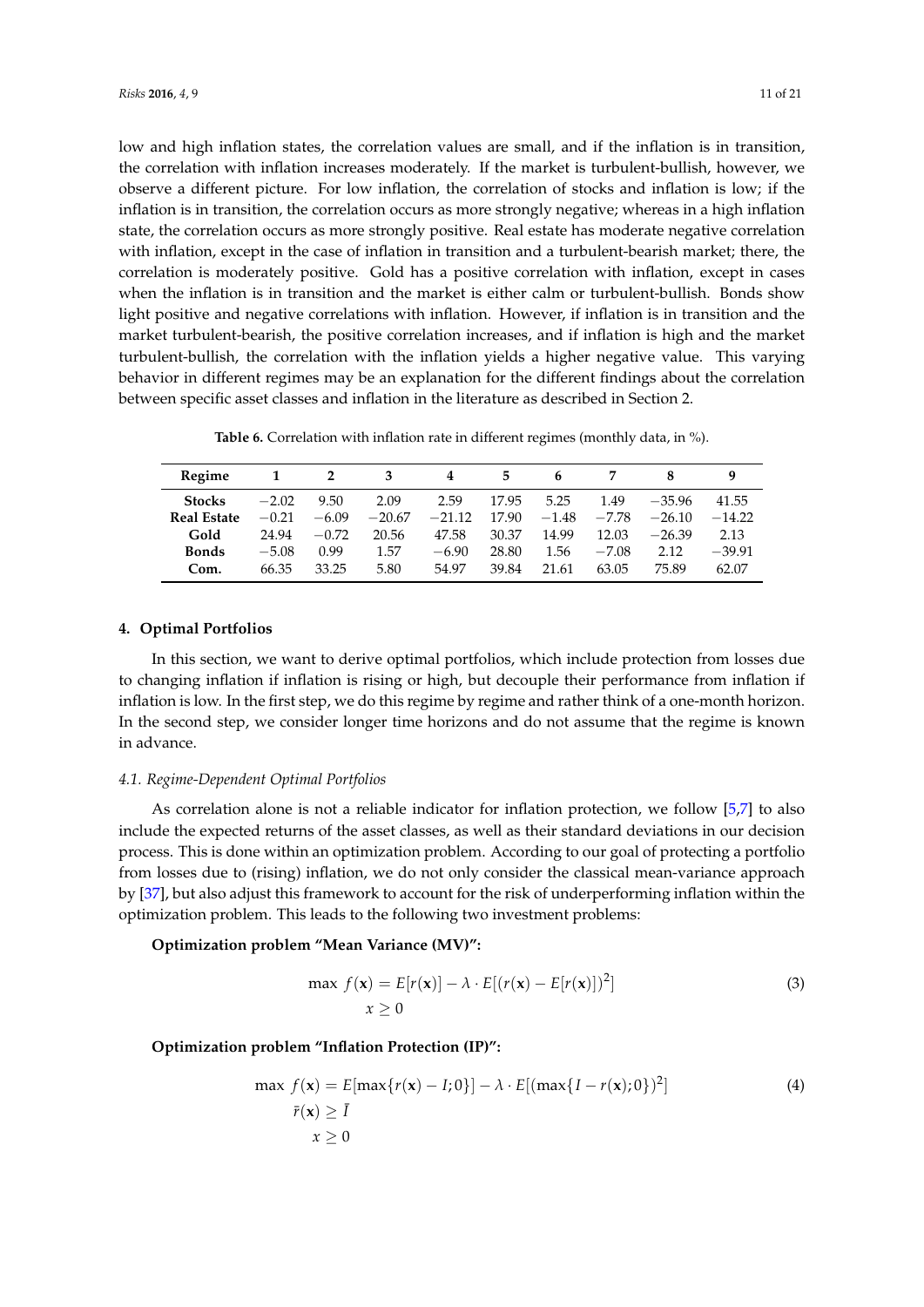low and high inflation states, the correlation values are small, and if the inflation is in transition, the correlation with inflation increases moderately. If the market is turbulent-bullish, however, we observe a different picture. For low inflation, the correlation of stocks and inflation is low; if the inflation is in transition, the correlation occurs as more strongly negative; whereas in a high inflation state, the correlation occurs as more strongly positive. Real estate has moderate negative correlation with inflation, except in the case of inflation in transition and a turbulent-bearish market; there, the correlation is moderately positive. Gold has a positive correlation with inflation, except in cases when the inflation is in transition and the market is either calm or turbulent-bullish. Bonds show light positive and negative correlations with inflation. However, if inflation is in transition and the market turbulent-bearish, the positive correlation increases, and if inflation is high and the market turbulent-bullish, the correlation with the inflation yields a higher negative value. This varying behavior in different regimes may be an explanation for the different findings about the correlation between specific asset classes and inflation in the literature as described in Section 2.

**Table 6.** Correlation with inflation rate in different regimes (monthly data, in %).

<span id="page-10-0"></span>

| Regime             |         | 2       |          | 4        | 5.    | h       |         |          | q        |
|--------------------|---------|---------|----------|----------|-------|---------|---------|----------|----------|
| <b>Stocks</b>      | $-2.02$ | 9.50    | 2.09     | 2.59     | 17.95 | 5.25    | 1.49    | $-35.96$ | 41.55    |
| <b>Real Estate</b> | $-0.21$ | $-6.09$ | $-20.67$ | $-21.12$ | 17.90 | $-1.48$ | $-7.78$ | $-26.10$ | $-14.22$ |
| Gold               | 24.94   | $-0.72$ | 20.56    | 47.58    | 30.37 | 14.99   | 12.03   | $-26.39$ | 2.13     |
| <b>Bonds</b>       | $-5.08$ | 0.99    | 1.57     | $-6.90$  | 28.80 | 1.56    | $-7.08$ | 2.12     | $-39.91$ |
| Com.               | 66.35   | 33.25   | 5.80     | 54.97    | 39.84 | 21.61   | 63.05   | 75.89    | 62.07    |

# **4. Optimal Portfolios**

In this section, we want to derive optimal portfolios, which include protection from losses due to changing inflation if inflation is rising or high, but decouple their performance from inflation if inflation is low. In the first step, we do this regime by regime and rather think of a one-month horizon. In the second step, we consider longer time horizons and do not assume that the regime is known in advance.

# *4.1. Regime-Dependent Optimal Portfolios*

As correlation alone is not a reliable indicator for inflation protection, we follow [\[5](#page-19-4)[,7\]](#page-19-6) to also include the expected returns of the asset classes, as well as their standard deviations in our decision process. This is done within an optimization problem. According to our goal of protecting a portfolio from losses due to (rising) inflation, we do not only consider the classical mean-variance approach by [\[37\]](#page-20-27), but also adjust this framework to account for the risk of underperforming inflation within the optimization problem. This leads to the following two investment problems:

# **Optimization problem "Mean Variance (MV)":**

<span id="page-10-1"></span>
$$
\max f(\mathbf{x}) = E[r(\mathbf{x})] - \lambda \cdot E[(r(\mathbf{x}) - E[r(\mathbf{x})])^{2}]
$$
\n
$$
x \ge 0
$$
\n(3)

## **Optimization problem "Inflation Protection (IP)":**

$$
\max f(\mathbf{x}) = E[\max\{r(\mathbf{x}) - I; 0\}] - \lambda \cdot E[(\max\{I - r(\mathbf{x}); 0\})^2]
$$
  
(4)  

$$
\bar{r}(\mathbf{x}) \ge \bar{I}
$$
  

$$
x \ge 0
$$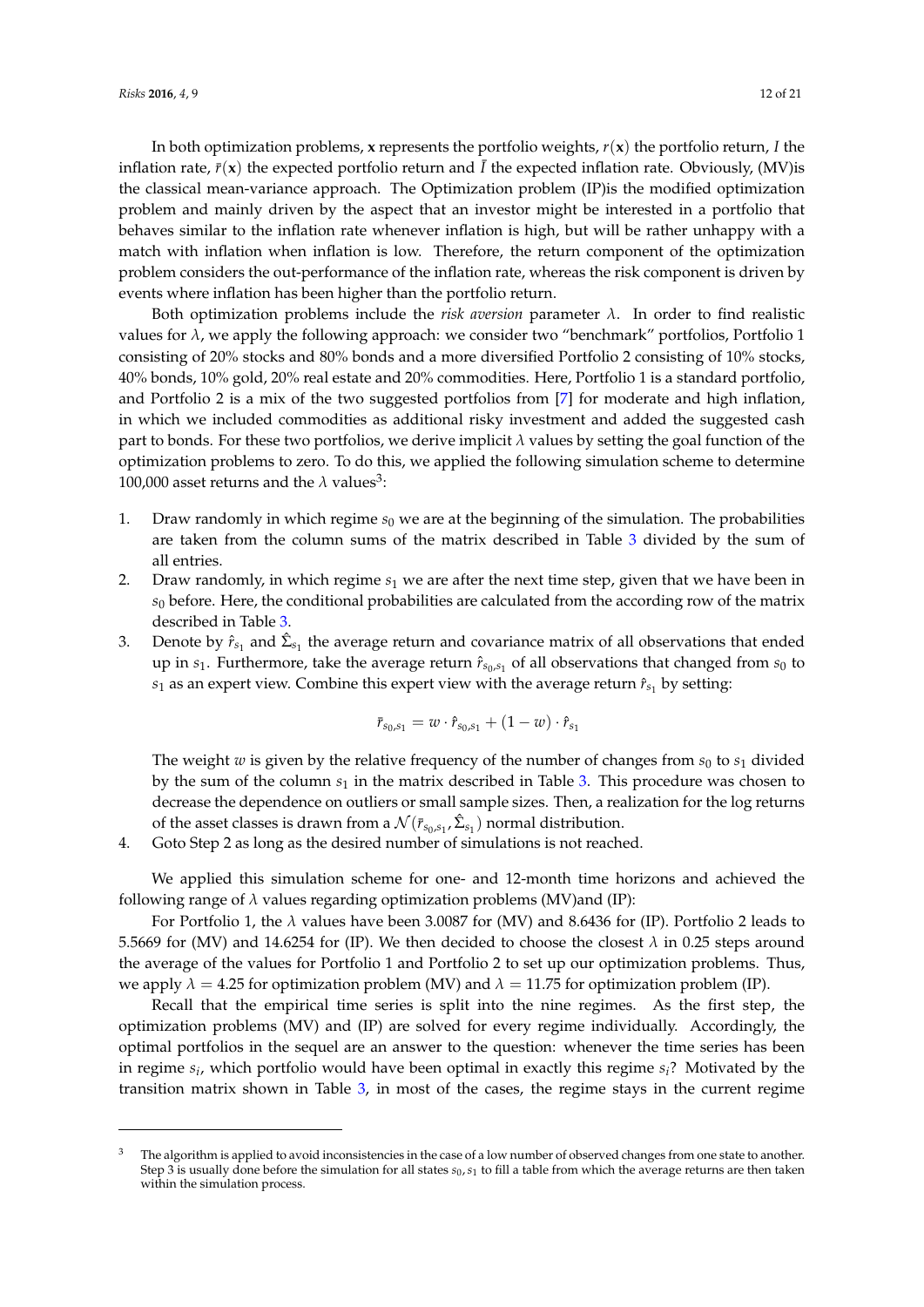In both optimization problems, **x** represents the portfolio weights, *r*(**x**) the portfolio return, *I* the inflation rate,  $\bar{r}(x)$  the expected portfolio return and  $\bar{l}$  the expected inflation rate. Obviously, (MV)is the classical mean-variance approach. The Optimization problem (IP)is the modified optimization problem and mainly driven by the aspect that an investor might be interested in a portfolio that behaves similar to the inflation rate whenever inflation is high, but will be rather unhappy with a match with inflation when inflation is low. Therefore, the return component of the optimization problem considers the out-performance of the inflation rate, whereas the risk component is driven by events where inflation has been higher than the portfolio return.

Both optimization problems include the *risk aversion* parameter *λ*. In order to find realistic values for *λ*, we apply the following approach: we consider two "benchmark" portfolios, Portfolio 1 consisting of 20% stocks and 80% bonds and a more diversified Portfolio 2 consisting of 10% stocks, 40% bonds, 10% gold, 20% real estate and 20% commodities. Here, Portfolio 1 is a standard portfolio, and Portfolio 2 is a mix of the two suggested portfolios from [\[7\]](#page-19-6) for moderate and high inflation, in which we included commodities as additional risky investment and added the suggested cash part to bonds. For these two portfolios, we derive implicit *λ* values by setting the goal function of the optimization problems to zero. To do this, we applied the following simulation scheme to determine 100,000 asset returns and the  $\lambda$  values<sup>3</sup>:

- 1. Draw randomly in which regime  $s_0$  we are at the beginning of the simulation. The probabilities are taken from the column sums of the matrix described in Table [3](#page-9-0) divided by the sum of all entries.
- 2. Draw randomly, in which regime *s*<sup>1</sup> we are after the next time step, given that we have been in *s*<sup>0</sup> before. Here, the conditional probabilities are calculated from the according row of the matrix described in Table [3.](#page-9-0)
- 3. Denote by  $\hat{r}_{s_1}$  and  $\hat{\Sigma}_{s_1}$  the average return and covariance matrix of all observations that ended up in *s*1. Furthermore, take the average return *r*ˆ*s*0,*s*<sup>1</sup> of all observations that changed from *s*<sup>0</sup> to  $s_1$  as an expert view. Combine this expert view with the average return  $\hat{r}_{s_1}$  by setting:

$$
\bar{r}_{s_0,s_1} = w \cdot \hat{r}_{s_0,s_1} + (1 - w) \cdot \hat{r}_{s_1}
$$

The weight *w* is given by the relative frequency of the number of changes from  $s_0$  to  $s_1$  divided by the sum of the column *s*<sup>1</sup> in the matrix described in Table [3.](#page-9-0) This procedure was chosen to decrease the dependence on outliers or small sample sizes. Then, a realization for the log returns of the asset classes is drawn from a  $\mathcal{N}(\bar{r}_{s_0,s_1},\hat{\Sigma}_{s_1})$  normal distribution.

4. Goto Step 2 as long as the desired number of simulations is not reached.

We applied this simulation scheme for one- and 12-month time horizons and achieved the following range of  $\lambda$  values regarding optimization problems (MV)and (IP):

For Portfolio 1, the *λ* values have been 3.0087 for (MV) and 8.6436 for (IP). Portfolio 2 leads to 5.5669 for (MV) and 14.6254 for (IP). We then decided to choose the closest *λ* in 0.25 steps around the average of the values for Portfolio 1 and Portfolio 2 to set up our optimization problems. Thus, we apply  $\lambda = 4.25$  for optimization problem (MV) and  $\lambda = 11.75$  for optimization problem (IP).

Recall that the empirical time series is split into the nine regimes. As the first step, the optimization problems (MV) and (IP) are solved for every regime individually. Accordingly, the optimal portfolios in the sequel are an answer to the question: whenever the time series has been in regime *s<sup>i</sup>* , which portfolio would have been optimal in exactly this regime *si*? Motivated by the transition matrix shown in Table [3,](#page-9-0) in most of the cases, the regime stays in the current regime

 $3$  The algorithm is applied to avoid inconsistencies in the case of a low number of observed changes from one state to another. Step 3 is usually done before the simulation for all states  $s_0$ ,  $s_1$  to fill a table from which the average returns are then taken within the simulation process.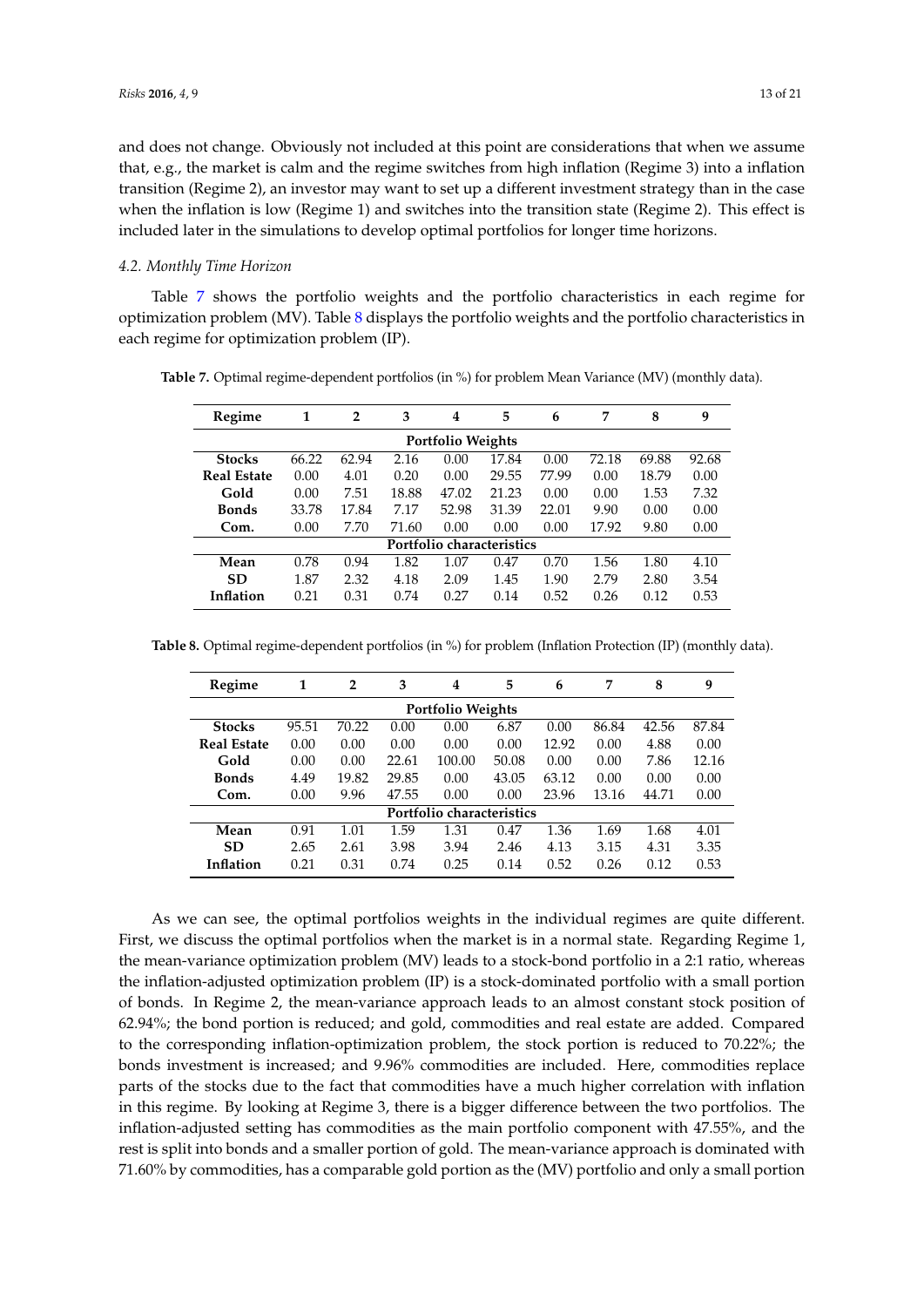and does not change. Obviously not included at this point are considerations that when we assume that, e.g., the market is calm and the regime switches from high inflation (Regime 3) into a inflation transition (Regime 2), an investor may want to set up a different investment strategy than in the case when the inflation is low (Regime 1) and switches into the transition state (Regime 2). This effect is included later in the simulations to develop optimal portfolios for longer time horizons.

#### *4.2. Monthly Time Horizon*

Table [7](#page-12-0) shows the portfolio weights and the portfolio characteristics in each regime for optimization problem (MV). Table [8](#page-12-1) displays the portfolio weights and the portfolio characteristics in each regime for optimization problem (IP).

| Regime                   | 1     | $\overline{2}$ | 3     | 4                         | 5     | 6     | 7     | 8     | 9     |  |  |
|--------------------------|-------|----------------|-------|---------------------------|-------|-------|-------|-------|-------|--|--|
| <b>Portfolio Weights</b> |       |                |       |                           |       |       |       |       |       |  |  |
| <b>Stocks</b>            | 66.22 | 62.94          | 2.16  | 0.00                      | 17.84 | 0.00  | 72.18 | 69.88 | 92.68 |  |  |
| <b>Real Estate</b>       | 0.00  | 4.01           | 0.20  | 0.00                      | 29.55 | 77.99 | 0.00  | 18.79 | 0.00  |  |  |
| Gold                     | 0.00  | 7.51           | 18.88 | 47.02                     | 21.23 | 0.00  | 0.00  | 1.53  | 7.32  |  |  |
| <b>Bonds</b>             | 33.78 | 17.84          | 7.17  | 52.98                     | 31.39 | 22.01 | 9.90  | 0.00  | 0.00  |  |  |
| Com.                     | 0.00  | 7.70           | 71.60 | 0.00                      | 0.00  | 0.00  | 17.92 | 9.80  | 0.00  |  |  |
|                          |       |                |       | Portfolio characteristics |       |       |       |       |       |  |  |
| Mean                     | 0.78  | 0.94           | 1.82  | 1.07                      | 0.47  | 0.70  | 1.56  | 1.80  | 4.10  |  |  |
| <b>SD</b>                | 1.87  | 2.32           | 4.18  | 2.09                      | 1.45  | 1.90  | 2.79  | 2.80  | 3.54  |  |  |
| Inflation                | 0.21  | 0.31           | 0.74  | 0.27                      | 0.14  | 0.52  | 0.26  | 0.12  | 0.53  |  |  |

<span id="page-12-0"></span>**Table 7.** Optimal regime-dependent portfolios (in %) for problem Mean Variance (MV) (monthly data).

<span id="page-12-1"></span>**Table 8.** Optimal regime-dependent portfolios (in %) for problem (Inflation Protection (IP) (monthly data).

| Regime                   | 1     | $\overline{2}$ | 3     | 4                         | 5     | 6     | 7     | 8     | 9     |  |  |
|--------------------------|-------|----------------|-------|---------------------------|-------|-------|-------|-------|-------|--|--|
| <b>Portfolio Weights</b> |       |                |       |                           |       |       |       |       |       |  |  |
| <b>Stocks</b>            | 95.51 | 70.22          | 0.00  | 0.00                      | 6.87  | 0.00  | 86.84 | 42.56 | 87.84 |  |  |
| <b>Real Estate</b>       | 0.00  | 0.00           | 0.00  | 0.00                      | 0.00  | 12.92 | 0.00  | 4.88  | 0.00  |  |  |
| Gold                     | 0.00  | 0.00           | 22.61 | 100.00                    | 50.08 | 0.00  | 0.00  | 7.86  | 12.16 |  |  |
| <b>Bonds</b>             | 4.49  | 19.82          | 29.85 | 0.00                      | 43.05 | 63.12 | 0.00  | 0.00  | 0.00  |  |  |
| Com.                     | 0.00  | 9.96           | 47.55 | 0.00                      | 0.00  | 23.96 | 13.16 | 44.71 | 0.00  |  |  |
|                          |       |                |       | Portfolio characteristics |       |       |       |       |       |  |  |
| Mean                     | 0.91  | 1.01           | 1.59  | 1.31                      | 0.47  | 1.36  | 1.69  | 1.68  | 4.01  |  |  |
| <b>SD</b>                | 2.65  | 2.61           | 3.98  | 3.94                      | 2.46  | 4.13  | 3.15  | 4.31  | 3.35  |  |  |
| <b>Inflation</b>         | 0.21  | 0.31           | 0.74  | 0.25                      | 0.14  | 0.52  | 0.26  | 0.12  | 0.53  |  |  |

As we can see, the optimal portfolios weights in the individual regimes are quite different. First, we discuss the optimal portfolios when the market is in a normal state. Regarding Regime 1, the mean-variance optimization problem (MV) leads to a stock-bond portfolio in a 2:1 ratio, whereas the inflation-adjusted optimization problem (IP) is a stock-dominated portfolio with a small portion of bonds. In Regime 2, the mean-variance approach leads to an almost constant stock position of 62.94%; the bond portion is reduced; and gold, commodities and real estate are added. Compared to the corresponding inflation-optimization problem, the stock portion is reduced to 70.22%; the bonds investment is increased; and 9.96% commodities are included. Here, commodities replace parts of the stocks due to the fact that commodities have a much higher correlation with inflation in this regime. By looking at Regime 3, there is a bigger difference between the two portfolios. The inflation-adjusted setting has commodities as the main portfolio component with 47.55%, and the rest is split into bonds and a smaller portion of gold. The mean-variance approach is dominated with 71.60% by commodities, has a comparable gold portion as the (MV) portfolio and only a small portion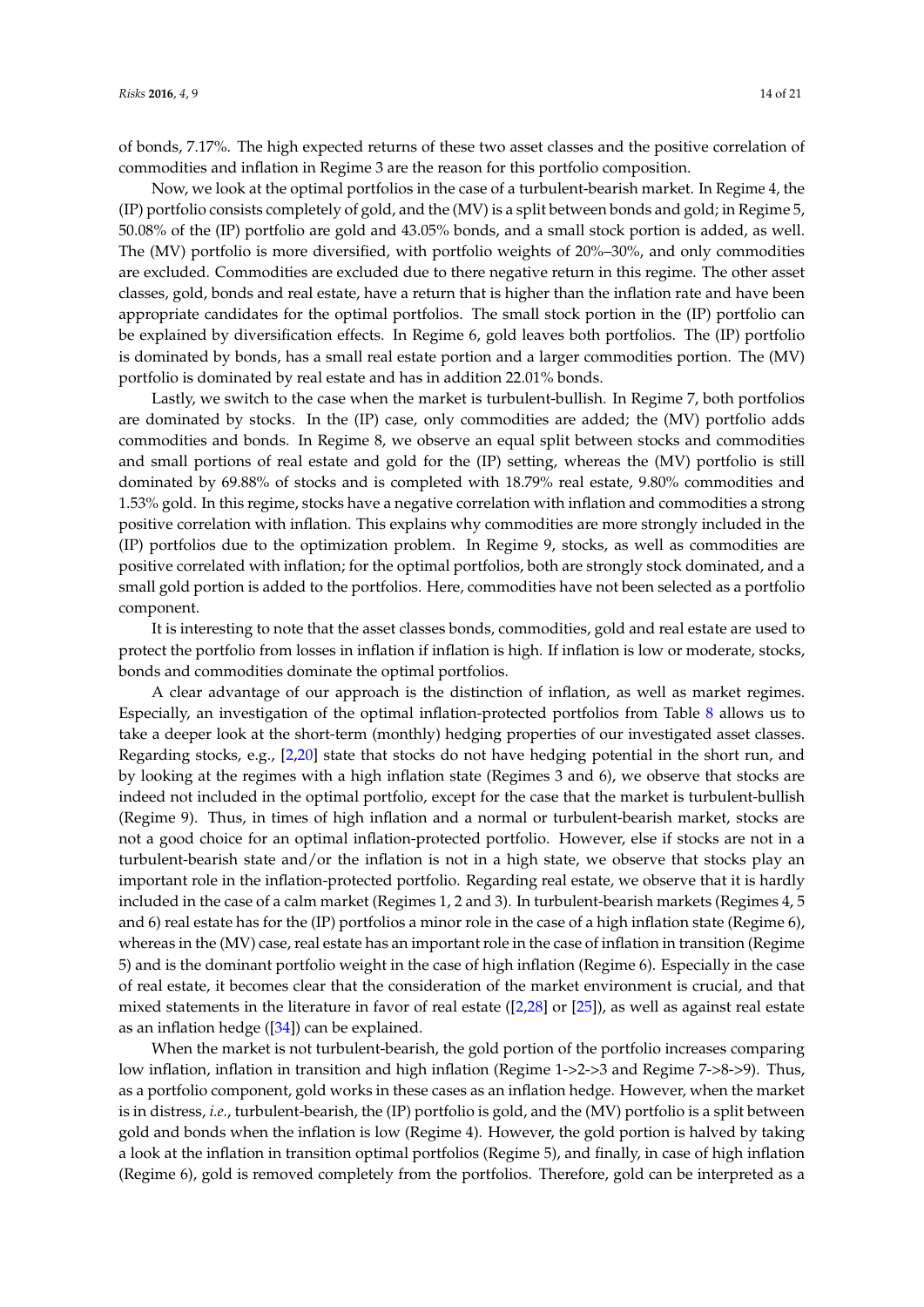of bonds, 7.17%. The high expected returns of these two asset classes and the positive correlation of commodities and inflation in Regime 3 are the reason for this portfolio composition.

Now, we look at the optimal portfolios in the case of a turbulent-bearish market. In Regime 4, the (IP) portfolio consists completely of gold, and the (MV) is a split between bonds and gold; in Regime 5, 50.08% of the (IP) portfolio are gold and 43.05% bonds, and a small stock portion is added, as well. The (MV) portfolio is more diversified, with portfolio weights of 20%–30%, and only commodities are excluded. Commodities are excluded due to there negative return in this regime. The other asset classes, gold, bonds and real estate, have a return that is higher than the inflation rate and have been appropriate candidates for the optimal portfolios. The small stock portion in the (IP) portfolio can be explained by diversification effects. In Regime 6, gold leaves both portfolios. The (IP) portfolio is dominated by bonds, has a small real estate portion and a larger commodities portion. The (MV) portfolio is dominated by real estate and has in addition 22.01% bonds.

Lastly, we switch to the case when the market is turbulent-bullish. In Regime 7, both portfolios are dominated by stocks. In the (IP) case, only commodities are added; the (MV) portfolio adds commodities and bonds. In Regime 8, we observe an equal split between stocks and commodities and small portions of real estate and gold for the (IP) setting, whereas the (MV) portfolio is still dominated by 69.88% of stocks and is completed with 18.79% real estate, 9.80% commodities and 1.53% gold. In this regime, stocks have a negative correlation with inflation and commodities a strong positive correlation with inflation. This explains why commodities are more strongly included in the (IP) portfolios due to the optimization problem. In Regime 9, stocks, as well as commodities are positive correlated with inflation; for the optimal portfolios, both are strongly stock dominated, and a small gold portion is added to the portfolios. Here, commodities have not been selected as a portfolio component.

It is interesting to note that the asset classes bonds, commodities, gold and real estate are used to protect the portfolio from losses in inflation if inflation is high. If inflation is low or moderate, stocks, bonds and commodities dominate the optimal portfolios.

A clear advantage of our approach is the distinction of inflation, as well as market regimes. Especially, an investigation of the optimal inflation-protected portfolios from Table [8](#page-12-1) allows us to take a deeper look at the short-term (monthly) hedging properties of our investigated asset classes. Regarding stocks, e.g., [\[2,](#page-19-1)[20\]](#page-20-10) state that stocks do not have hedging potential in the short run, and by looking at the regimes with a high inflation state (Regimes 3 and 6), we observe that stocks are indeed not included in the optimal portfolio, except for the case that the market is turbulent-bullish (Regime 9). Thus, in times of high inflation and a normal or turbulent-bearish market, stocks are not a good choice for an optimal inflation-protected portfolio. However, else if stocks are not in a turbulent-bearish state and/or the inflation is not in a high state, we observe that stocks play an important role in the inflation-protected portfolio. Regarding real estate, we observe that it is hardly included in the case of a calm market (Regimes 1, 2 and 3). In turbulent-bearish markets (Regimes 4, 5 and 6) real estate has for the (IP) portfolios a minor role in the case of a high inflation state (Regime 6), whereas in the (MV) case, real estate has an important role in the case of inflation in transition (Regime 5) and is the dominant portfolio weight in the case of high inflation (Regime 6). Especially in the case of real estate, it becomes clear that the consideration of the market environment is crucial, and that mixed statements in the literature in favor of real estate ([\[2](#page-19-1)[,28\]](#page-20-18) or [\[25\]](#page-20-15)), as well as against real estate as an inflation hedge ([\[34\]](#page-20-24)) can be explained.

When the market is not turbulent-bearish, the gold portion of the portfolio increases comparing low inflation, inflation in transition and high inflation (Regime 1->2->3 and Regime 7->8->9). Thus, as a portfolio component, gold works in these cases as an inflation hedge. However, when the market is in distress, *i.e.*, turbulent-bearish, the (IP) portfolio is gold, and the (MV) portfolio is a split between gold and bonds when the inflation is low (Regime 4). However, the gold portion is halved by taking a look at the inflation in transition optimal portfolios (Regime 5), and finally, in case of high inflation (Regime 6), gold is removed completely from the portfolios. Therefore, gold can be interpreted as a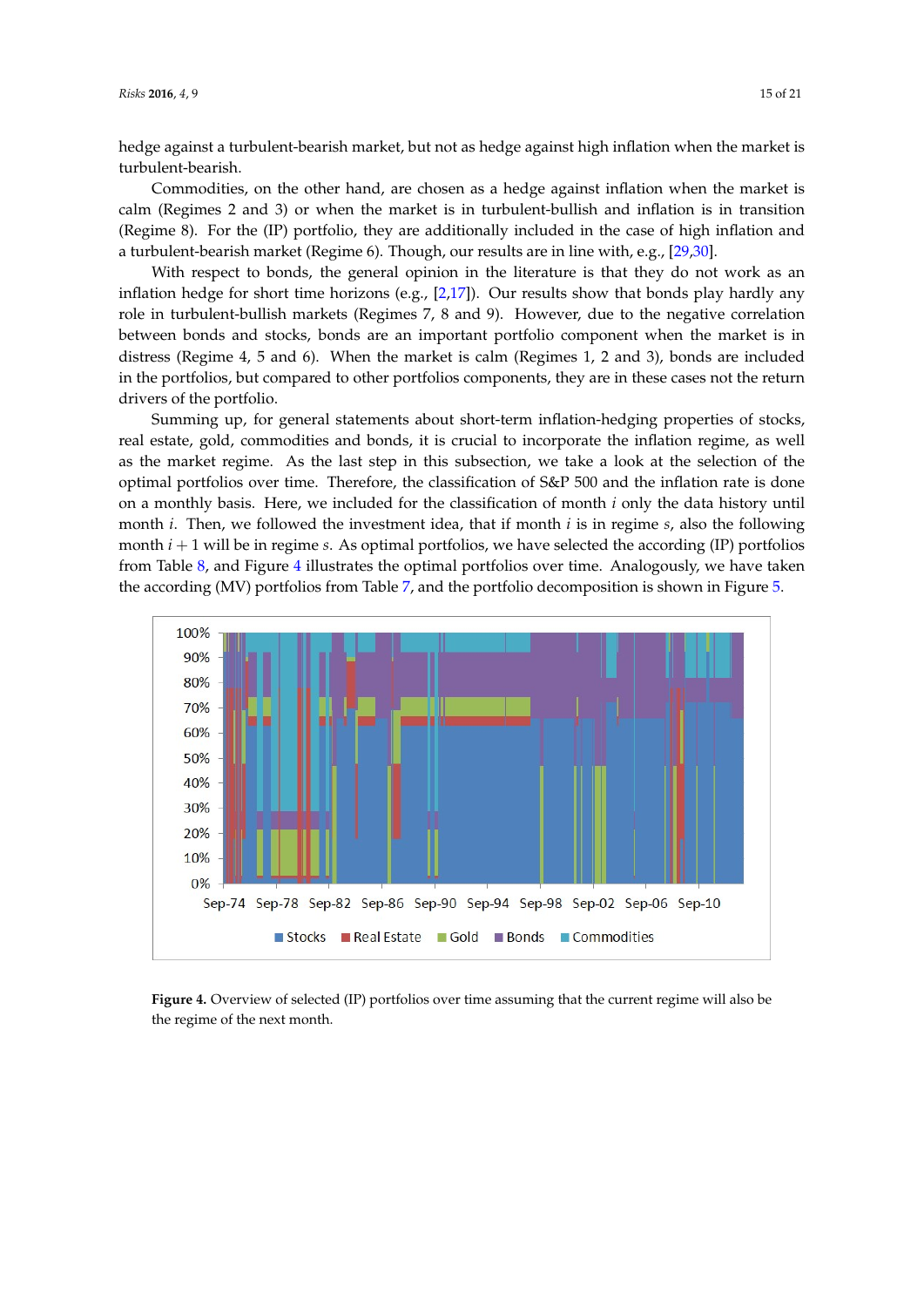hedge against a turbulent-bearish market, but not as hedge against high inflation when the market is turbulent-bearish.

Commodities, on the other hand, are chosen as a hedge against inflation when the market is calm (Regimes 2 and 3) or when the market is in turbulent-bullish and inflation is in transition (Regime 8). For the (IP) portfolio, they are additionally included in the case of high inflation and a turbulent-bearish market (Regime 6). Though, our results are in line with, e.g., [\[29,](#page-20-19)[30\]](#page-20-20).

With respect to bonds, the general opinion in the literature is that they do not work as an inflation hedge for short time horizons (e.g., [\[2,](#page-19-1)[17\]](#page-20-7)). Our results show that bonds play hardly any role in turbulent-bullish markets (Regimes 7, 8 and 9). However, due to the negative correlation between bonds and stocks, bonds are an important portfolio component when the market is in distress (Regime 4, 5 and 6). When the market is calm (Regimes 1, 2 and 3), bonds are included in the portfolios, but compared to other portfolios components, they are in these cases not the return drivers of the portfolio.

Summing up, for general statements about short-term inflation-hedging properties of stocks, real estate, gold, commodities and bonds, it is crucial to incorporate the inflation regime, as well as the market regime. As the last step in this subsection, we take a look at the selection of the optimal portfolios over time. Therefore, the classification of S&P 500 and the inflation rate is done on a monthly basis. Here, we included for the classification of month *i* only the data history until month *i*. Then, we followed the investment idea, that if month *i* is in regime *s*, also the following month *i* + 1 will be in regime *s*. As optimal portfolios, we have selected the according (IP) portfolios from Table [8,](#page-12-1) and Figure [4](#page-14-0) illustrates the optimal portfolios over time. Analogously, we have taken the according (MV) portfolios from Table [7,](#page-12-0) and the portfolio decomposition is shown in Figure [5.](#page-15-0)

<span id="page-14-0"></span>

**Figure 4.** Overview of selected (IP) portfolios over time assuming that the current regime will also be the regime of the next month.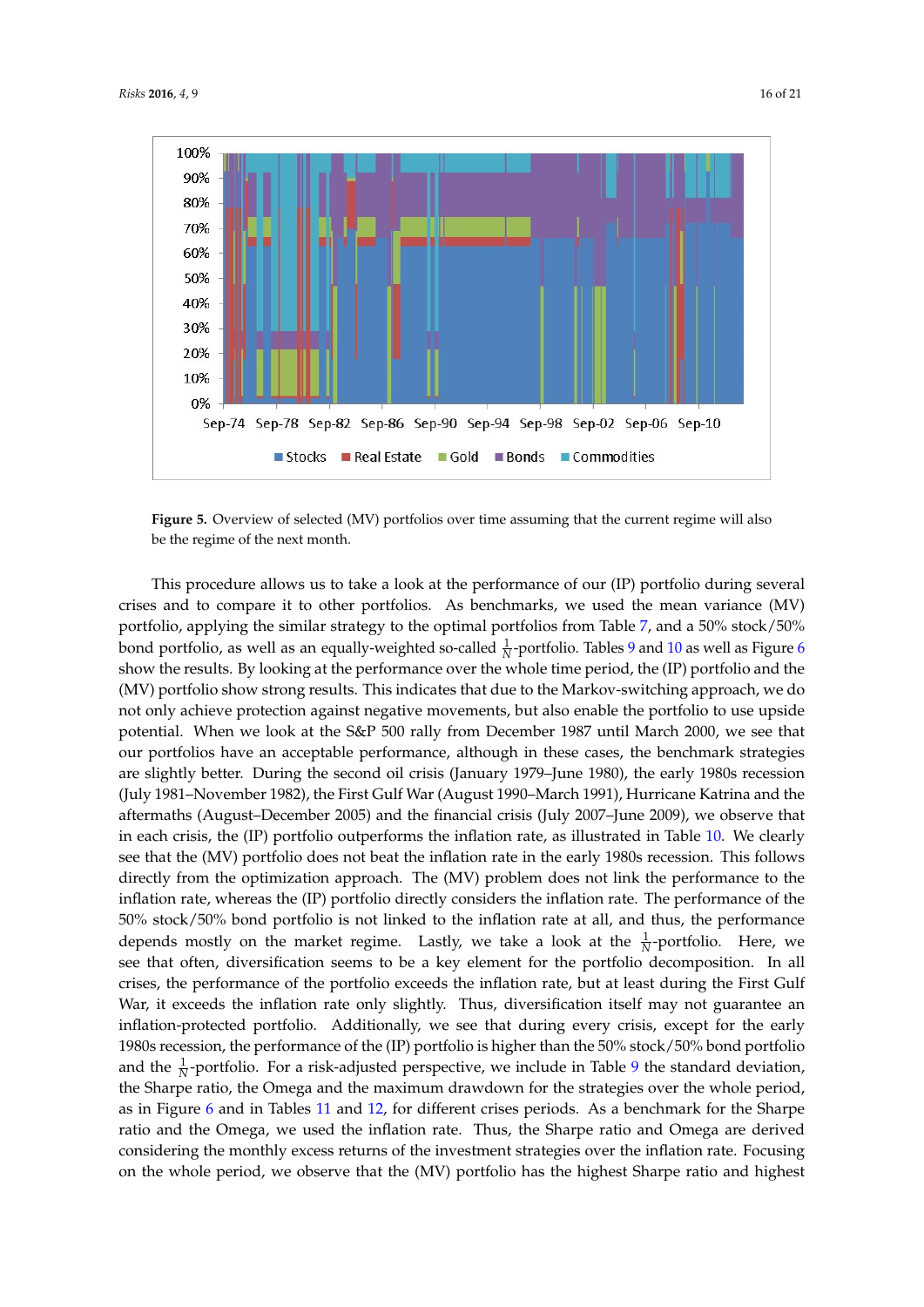<span id="page-15-0"></span>

**Figure 5.** Overview of selected (MV) portfolios over time assuming that the current regime will also be the regime of the next month.

This procedure allows us to take a look at the performance of our (IP) portfolio during several crises and to compare it to other portfolios. As benchmarks, we used the mean variance (MV) portfolio, applying the similar strategy to the optimal portfolios from Table [7,](#page-12-0) and a 50% stock/50% bond portfolio, as well as an equally-weighted so-called  $\frac{1}{N}$ -portfolio. Tables [9](#page-16-0) and [10](#page-16-1) as well as Figure [6](#page-16-2) show the results. By looking at the performance over the whole time period, the (IP) portfolio and the (MV) portfolio show strong results. This indicates that due to the Markov-switching approach, we do not only achieve protection against negative movements, but also enable the portfolio to use upside potential. When we look at the S&P 500 rally from December 1987 until March 2000, we see that our portfolios have an acceptable performance, although in these cases, the benchmark strategies are slightly better. During the second oil crisis (January 1979–June 1980), the early 1980s recession (July 1981–November 1982), the First Gulf War (August 1990–March 1991), Hurricane Katrina and the aftermaths (August–December 2005) and the financial crisis (July 2007–June 2009), we observe that in each crisis, the (IP) portfolio outperforms the inflation rate, as illustrated in Table [10.](#page-16-1) We clearly see that the (MV) portfolio does not beat the inflation rate in the early 1980s recession. This follows directly from the optimization approach. The (MV) problem does not link the performance to the inflation rate, whereas the (IP) portfolio directly considers the inflation rate. The performance of the 50% stock/50% bond portfolio is not linked to the inflation rate at all, and thus, the performance depends mostly on the market regime. Lastly, we take a look at the  $\frac{1}{N}$ -portfolio. Here, we see that often, diversification seems to be a key element for the portfolio decomposition. In all crises, the performance of the portfolio exceeds the inflation rate, but at least during the First Gulf War, it exceeds the inflation rate only slightly. Thus, diversification itself may not guarantee an inflation-protected portfolio. Additionally, we see that during every crisis, except for the early 1980s recession, the performance of the (IP) portfolio is higher than the 50% stock/50% bond portfolio and the  $\frac{1}{N}$ -portfolio. For a risk-adjusted perspective, we include in Table [9](#page-16-0) the standard deviation, the Sharpe ratio, the Omega and the maximum drawdown for the strategies over the whole period, as in Figure [6](#page-16-2) and in Tables [11](#page-17-0) and [12,](#page-17-1) for different crises periods. As a benchmark for the Sharpe ratio and the Omega, we used the inflation rate. Thus, the Sharpe ratio and Omega are derived considering the monthly excess returns of the investment strategies over the inflation rate. Focusing on the whole period, we observe that the (MV) portfolio has the highest Sharpe ratio and highest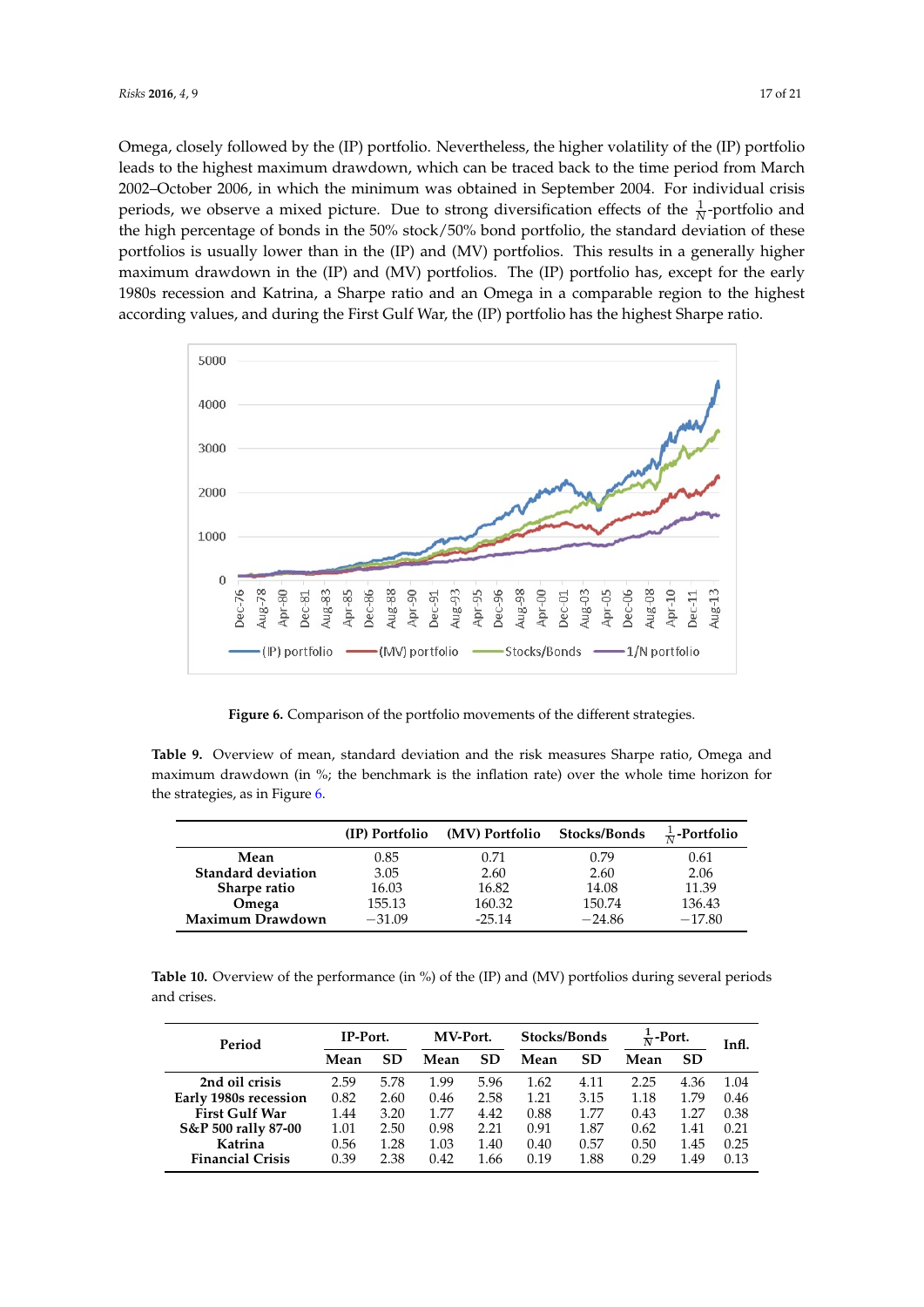Omega, closely followed by the (IP) portfolio. Nevertheless, the higher volatility of the (IP) portfolio leads to the highest maximum drawdown, which can be traced back to the time period from March 2002–October 2006, in which the minimum was obtained in September 2004. For individual crisis periods, we observe a mixed picture. Due to strong diversification effects of the  $\frac{1}{N}$ -portfolio and the high percentage of bonds in the 50% stock/50% bond portfolio, the standard deviation of these portfolios is usually lower than in the (IP) and (MV) portfolios. This results in a generally higher maximum drawdown in the (IP) and (MV) portfolios. The (IP) portfolio has, except for the early 1980s recession and Katrina, a Sharpe ratio and an Omega in a comparable region to the highest

<span id="page-16-2"></span>

**Figure 6.** Comparison of the portfolio movements of the different strategies.

<span id="page-16-0"></span>**Table 9.** Overview of mean, standard deviation and the risk measures Sharpe ratio, Omega and maximum drawdown (in %; the benchmark is the inflation rate) over the whole time horizon for the strategies, as in Figure [6.](#page-16-2)

|                           |          | (IP) Portfolio (MV) Portfolio | <b>Stocks/Bonds</b> | $\frac{1}{N}$ -Portfolio |
|---------------------------|----------|-------------------------------|---------------------|--------------------------|
| Mean                      | 0.85     | 0.71                          | 0.79                | 0.61                     |
| <b>Standard deviation</b> | 3.05     | 2.60                          | 2.60                | 2.06                     |
| Sharpe ratio              | 16.03    | 16.82                         | 14.08               | 11.39                    |
| Omega                     | 155.13   | 160.32                        | 150.74              | 136.43                   |
| Maximum Drawdown          | $-31.09$ | $-25.14$                      | $-24.86$            | $-17.80$                 |

<span id="page-16-1"></span>**Table 10.** Overview of the performance (in %) of the (IP) and (MV) portfolios during several periods and crises.

| Period                  | IP-Port. |           | MV-Port. |           | Stocks/Bonds |           | $\frac{1}{N}$ -Port. |           | Infl. |
|-------------------------|----------|-----------|----------|-----------|--------------|-----------|----------------------|-----------|-------|
|                         | Mean     | <b>SD</b> | Mean     | <b>SD</b> | Mean         | <b>SD</b> | Mean                 | <b>SD</b> |       |
| 2nd oil crisis          | 2.59     | 5.78      | 1.99     | 5.96      | 1.62         | 4.11      | 2.25                 | 4.36      | 1.04  |
| Early 1980s recession   | 0.82     | 2.60      | 0.46     | 2.58      | 1.21         | 3.15      | 1.18                 | 1.79      | 0.46  |
| <b>First Gulf War</b>   | 1.44     | 3.20      | 1.77     | 4.42      | 0.88         | 1.77      | 0.43                 | 1.27      | 0.38  |
| S&P 500 rally 87-00     | 1.01     | 2.50      | 0.98     | 2.21      | 0.91         | 1.87      | 0.62                 | 1.41      | 0.21  |
| Katrina                 | 0.56     | 1.28      | 1.03     | 1.40      | 0.40         | 0.57      | 0.50                 | 1.45      | 0.25  |
| <b>Financial Crisis</b> | 0.39     | 2.38      | 0.42     | 1.66      | 0.19         | 1.88      | 0.29                 | 1.49      | 0.13  |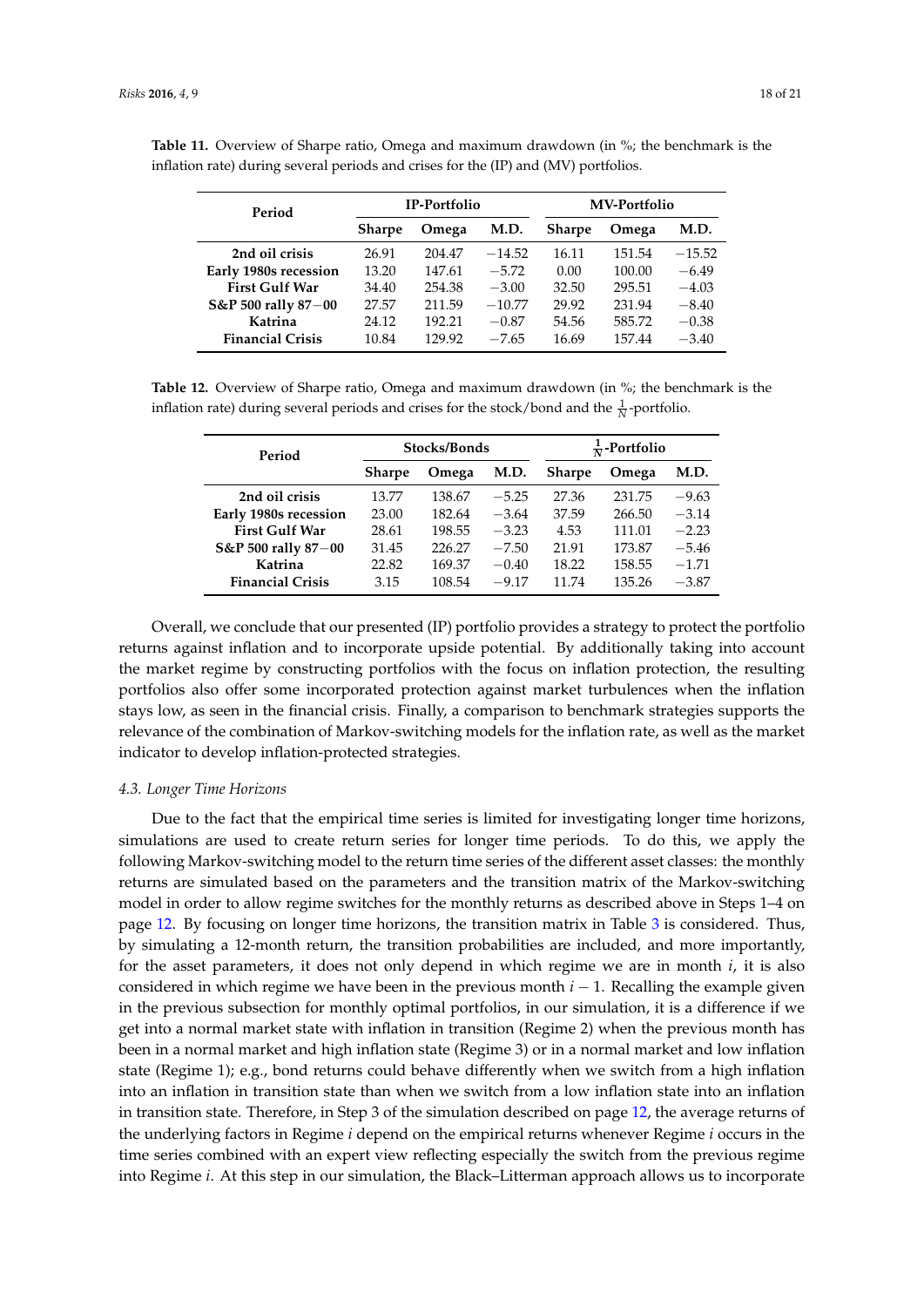| Period                  |               | IP-Portfolio  |          |               | <b>MV-Portfolio</b> |          |  |  |
|-------------------------|---------------|---------------|----------|---------------|---------------------|----------|--|--|
|                         | <b>Sharpe</b> | M.D.<br>Omega |          | <b>Sharpe</b> | Omega               | M.D.     |  |  |
| 2nd oil crisis          | 26.91         | 204.47        | $-14.52$ | 16.11         | 151.54              | $-15.52$ |  |  |
| Early 1980s recession   | 13.20         | 147.61        | $-5.72$  | 0.00          | 100.00              | $-6.49$  |  |  |
| <b>First Gulf War</b>   | 34.40         | 254.38        | $-3.00$  | 32.50         | 295.51              | $-4.03$  |  |  |
| S&P 500 rally 87-00     | 27.57         | 211.59        | $-10.77$ | 29.92         | 231.94              | $-8.40$  |  |  |
| Katrina                 | 24.12         | 192.21        | $-0.87$  | 54.56         | 585.72              | $-0.38$  |  |  |
| <b>Financial Crisis</b> | 10.84         | 129.92        | $-7.65$  | 16.69         | 157.44              | $-3.40$  |  |  |

<span id="page-17-0"></span>**Table 11.** Overview of Sharpe ratio, Omega and maximum drawdown (in %; the benchmark is the inflation rate) during several periods and crises for the (IP) and (MV) portfolios.

<span id="page-17-1"></span>**Table 12.** Overview of Sharpe ratio, Omega and maximum drawdown (in %; the benchmark is the inflation rate) during several periods and crises for the stock/bond and the  $\frac{1}{N}$ -portfolio.

| Period                  |               | Stocks/Bonds |         |               | $\frac{1}{N}$ -Portfolio |         |  |  |
|-------------------------|---------------|--------------|---------|---------------|--------------------------|---------|--|--|
|                         | <b>Sharpe</b> | Omega        | M.D.    | <b>Sharpe</b> | Omega                    | M.D.    |  |  |
| 2nd oil crisis          | 13.77         | 138.67       | $-5.25$ | 27.36         | 231.75                   | $-9.63$ |  |  |
| Early 1980s recession   | 23.00         | 182.64       | $-3.64$ | 37.59         | 266.50                   | $-3.14$ |  |  |
| <b>First Gulf War</b>   | 28.61         | 198.55       | $-3.23$ | 4.53          | 111.01                   | $-2.23$ |  |  |
| S&P 500 rally 87-00     | 31.45         | 226.27       | $-7.50$ | 21.91         | 173.87                   | $-5.46$ |  |  |
| Katrina                 | 22.82         | 169.37       | $-0.40$ | 18.22         | 158.55                   | $-1.71$ |  |  |
| <b>Financial Crisis</b> | 3.15          | 108.54       | $-9.17$ | 11.74         | 135.26                   | $-3.87$ |  |  |

Overall, we conclude that our presented (IP) portfolio provides a strategy to protect the portfolio returns against inflation and to incorporate upside potential. By additionally taking into account the market regime by constructing portfolios with the focus on inflation protection, the resulting portfolios also offer some incorporated protection against market turbulences when the inflation stays low, as seen in the financial crisis. Finally, a comparison to benchmark strategies supports the relevance of the combination of Markov-switching models for the inflation rate, as well as the market indicator to develop inflation-protected strategies.

#### *4.3. Longer Time Horizons*

Due to the fact that the empirical time series is limited for investigating longer time horizons, simulations are used to create return series for longer time periods. To do this, we apply the following Markov-switching model to the return time series of the different asset classes: the monthly returns are simulated based on the parameters and the transition matrix of the Markov-switching model in order to allow regime switches for the monthly returns as described above in Steps 1–4 on page [12.](#page-10-1) By focusing on longer time horizons, the transition matrix in Table [3](#page-9-0) is considered. Thus, by simulating a 12-month return, the transition probabilities are included, and more importantly, for the asset parameters, it does not only depend in which regime we are in month *i*, it is also considered in which regime we have been in the previous month *i* − 1. Recalling the example given in the previous subsection for monthly optimal portfolios, in our simulation, it is a difference if we get into a normal market state with inflation in transition (Regime 2) when the previous month has been in a normal market and high inflation state (Regime 3) or in a normal market and low inflation state (Regime 1); e.g., bond returns could behave differently when we switch from a high inflation into an inflation in transition state than when we switch from a low inflation state into an inflation in transition state. Therefore, in Step 3 of the simulation described on page [12,](#page-10-1) the average returns of the underlying factors in Regime *i* depend on the empirical returns whenever Regime *i* occurs in the time series combined with an expert view reflecting especially the switch from the previous regime into Regime *i*. At this step in our simulation, the Black–Litterman approach allows us to incorporate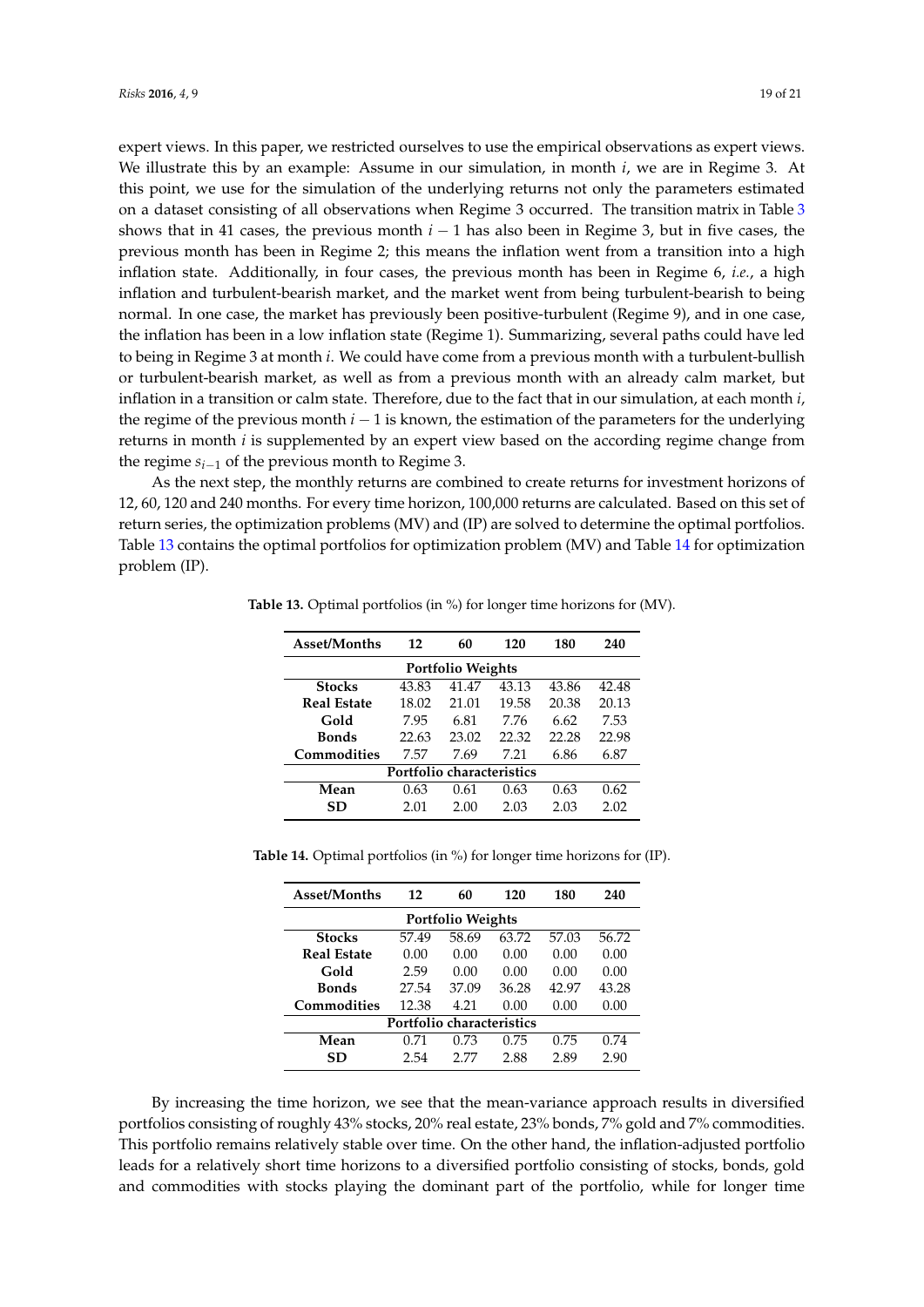expert views. In this paper, we restricted ourselves to use the empirical observations as expert views. We illustrate this by an example: Assume in our simulation, in month *i*, we are in Regime 3. At this point, we use for the simulation of the underlying returns not only the parameters estimated on a dataset consisting of all observations when Regime 3 occurred. The transition matrix in Table [3](#page-9-0) shows that in 41 cases, the previous month *i* − 1 has also been in Regime 3, but in five cases, the previous month has been in Regime 2; this means the inflation went from a transition into a high inflation state. Additionally, in four cases, the previous month has been in Regime 6, *i.e.*, a high inflation and turbulent-bearish market, and the market went from being turbulent-bearish to being normal. In one case, the market has previously been positive-turbulent (Regime 9), and in one case, the inflation has been in a low inflation state (Regime 1). Summarizing, several paths could have led to being in Regime 3 at month *i*. We could have come from a previous month with a turbulent-bullish or turbulent-bearish market, as well as from a previous month with an already calm market, but inflation in a transition or calm state. Therefore, due to the fact that in our simulation, at each month *i*, the regime of the previous month *i* − 1 is known, the estimation of the parameters for the underlying returns in month *i* is supplemented by an expert view based on the according regime change from the regime  $s_{i-1}$  of the previous month to Regime 3.

<span id="page-18-0"></span>As the next step, the monthly returns are combined to create returns for investment horizons of 12, 60, 120 and 240 months. For every time horizon, 100,000 returns are calculated. Based on this set of return series, the optimization problems (MV) and (IP) are solved to determine the optimal portfolios. Table [13](#page-18-0) contains the optimal portfolios for optimization problem (MV) and Table [14](#page-18-1) for optimization problem (IP).

| <b>Asset/Months</b>       | 12    | 60    | 120   | 180   | 240   |  |  |  |
|---------------------------|-------|-------|-------|-------|-------|--|--|--|
| <b>Portfolio Weights</b>  |       |       |       |       |       |  |  |  |
| <b>Stocks</b>             | 43.83 | 41.47 | 43.13 | 43.86 | 42.48 |  |  |  |
| <b>Real Estate</b>        | 18.02 | 21.01 | 19.58 | 20.38 | 20.13 |  |  |  |
| Gold                      | 7.95  | 6.81  | 7.76  | 6.62  | 7.53  |  |  |  |
| <b>Bonds</b>              | 22.63 | 23.02 | 22.32 | 22.28 | 22.98 |  |  |  |
| Commodities               | 7.57  | 7.69  | 7 21  | 6.86  | 6.87  |  |  |  |
| Portfolio characteristics |       |       |       |       |       |  |  |  |
| Mean                      | 0.63  | 0.61  | 0.63  | 0.63  | 0.62  |  |  |  |
| SD                        | 2.01  | 2.00  | 2.03  | 2.03  | 2.02  |  |  |  |

**Table 13.** Optimal portfolios (in %) for longer time horizons for (MV).

<span id="page-18-1"></span>

| Table 14. Optimal portfolios (in %) for longer time horizons for (IP). |  |  |  |  |  |
|------------------------------------------------------------------------|--|--|--|--|--|
|------------------------------------------------------------------------|--|--|--|--|--|

| Asset/Months              | 12    | 60    | 120   | 180   | 240   |  |  |  |
|---------------------------|-------|-------|-------|-------|-------|--|--|--|
| <b>Portfolio Weights</b>  |       |       |       |       |       |  |  |  |
| <b>Stocks</b>             | 57.49 | 58.69 | 63.72 | 57.03 | 56.72 |  |  |  |
| <b>Real Estate</b>        | 0.00  | 0.00  | 0.00  | 0.00  | 0.00  |  |  |  |
| Gold                      | 2.59  | 0.00  | 0.00  | 0.00  | 0.00  |  |  |  |
| <b>Bonds</b>              | 27.54 | 37.09 | 36.28 | 42.97 | 43.28 |  |  |  |
| Commodities               | 12.38 | 4.21  | 0.00  | 0.00  | 0.00  |  |  |  |
| Portfolio characteristics |       |       |       |       |       |  |  |  |
| Mean                      | 0.71  | 0.73  | 0.75  | 0.75  | 0.74  |  |  |  |
| SD                        | 2.54  | 2 77  | 2.88  | 2.89  | 2.90  |  |  |  |

By increasing the time horizon, we see that the mean-variance approach results in diversified portfolios consisting of roughly 43% stocks, 20% real estate, 23% bonds, 7% gold and 7% commodities. This portfolio remains relatively stable over time. On the other hand, the inflation-adjusted portfolio leads for a relatively short time horizons to a diversified portfolio consisting of stocks, bonds, gold and commodities with stocks playing the dominant part of the portfolio, while for longer time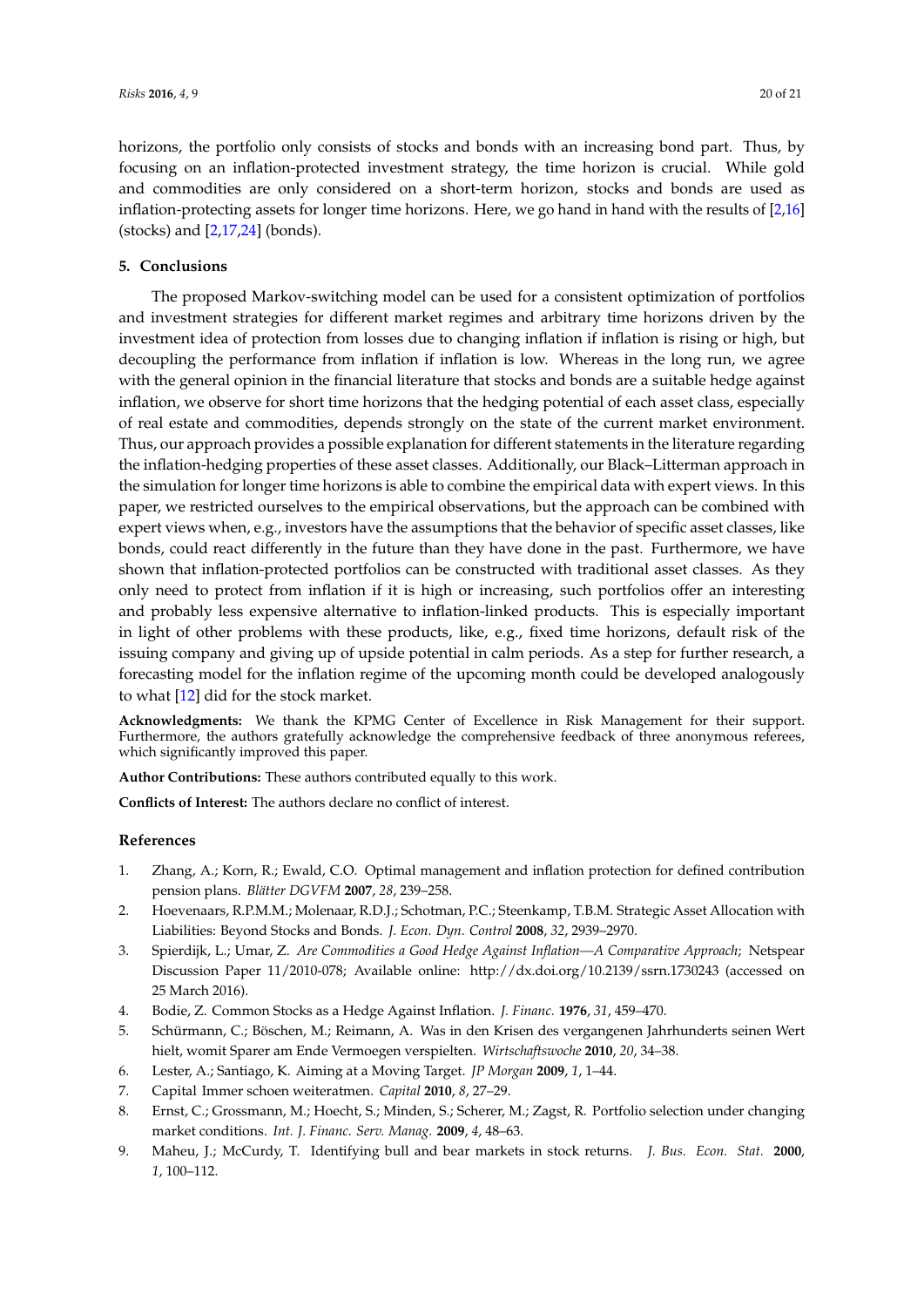horizons, the portfolio only consists of stocks and bonds with an increasing bond part. Thus, by focusing on an inflation-protected investment strategy, the time horizon is crucial. While gold and commodities are only considered on a short-term horizon, stocks and bonds are used as inflation-protecting assets for longer time horizons. Here, we go hand in hand with the results of [\[2,](#page-19-1)[16\]](#page-20-6) (stocks) and [\[2](#page-19-1)[,17](#page-20-7)[,24\]](#page-20-14) (bonds).

# **5. Conclusions**

The proposed Markov-switching model can be used for a consistent optimization of portfolios and investment strategies for different market regimes and arbitrary time horizons driven by the investment idea of protection from losses due to changing inflation if inflation is rising or high, but decoupling the performance from inflation if inflation is low. Whereas in the long run, we agree with the general opinion in the financial literature that stocks and bonds are a suitable hedge against inflation, we observe for short time horizons that the hedging potential of each asset class, especially of real estate and commodities, depends strongly on the state of the current market environment. Thus, our approach provides a possible explanation for different statements in the literature regarding the inflation-hedging properties of these asset classes. Additionally, our Black–Litterman approach in the simulation for longer time horizons is able to combine the empirical data with expert views. In this paper, we restricted ourselves to the empirical observations, but the approach can be combined with expert views when, e.g., investors have the assumptions that the behavior of specific asset classes, like bonds, could react differently in the future than they have done in the past. Furthermore, we have shown that inflation-protected portfolios can be constructed with traditional asset classes. As they only need to protect from inflation if it is high or increasing, such portfolios offer an interesting and probably less expensive alternative to inflation-linked products. This is especially important in light of other problems with these products, like, e.g., fixed time horizons, default risk of the issuing company and giving up of upside potential in calm periods. As a step for further research, a forecasting model for the inflation regime of the upcoming month could be developed analogously to what [\[12\]](#page-20-2) did for the stock market.

**Acknowledgments:** We thank the KPMG Center of Excellence in Risk Management for their support. Furthermore, the authors gratefully acknowledge the comprehensive feedback of three anonymous referees, which significantly improved this paper.

**Author Contributions:** These authors contributed equally to this work.

**Conflicts of Interest:** The authors declare no conflict of interest.

## **References**

- <span id="page-19-0"></span>1. Zhang, A.; Korn, R.; Ewald, C.O. Optimal management and inflation protection for defined contribution pension plans. *Blätter DGVFM* **2007**, *28*, 239–258.
- <span id="page-19-1"></span>2. Hoevenaars, R.P.M.M.; Molenaar, R.D.J.; Schotman, P.C.; Steenkamp, T.B.M. Strategic Asset Allocation with Liabilities: Beyond Stocks and Bonds. *J. Econ. Dyn. Control* **2008**, *32*, 2939–2970.
- <span id="page-19-2"></span>3. Spierdijk, L.; Umar, Z. *Are Commodities a Good Hedge Against Inflation—A Comparative Approach*; Netspear Discussion Paper 11/2010-078; Available online: http://dx.doi.org/10.2139/ssrn.1730243 (accessed on 25 March 2016).
- <span id="page-19-3"></span>4. Bodie, Z. Common Stocks as a Hedge Against Inflation. *J. Financ.* **1976**, *31*, 459–470.
- <span id="page-19-4"></span>5. Schürmann, C.; Böschen, M.; Reimann, A. Was in den Krisen des vergangenen Jahrhunderts seinen Wert hielt, womit Sparer am Ende Vermoegen verspielten. *Wirtschaftswoche* **2010**, *20*, 34–38.
- <span id="page-19-5"></span>6. Lester, A.; Santiago, K. Aiming at a Moving Target. *JP Morgan* **2009**, *1*, 1–44.
- <span id="page-19-6"></span>7. Capital Immer schoen weiteratmen. *Capital* **2010**, *8*, 27–29.
- <span id="page-19-7"></span>8. Ernst, C.; Grossmann, M.; Hoecht, S.; Minden, S.; Scherer, M.; Zagst, R. Portfolio selection under changing market conditions. *Int. J. Financ. Serv. Manag.* **2009**, *4*, 48–63.
- <span id="page-19-8"></span>9. Maheu, J.; McCurdy, T. Identifying bull and bear markets in stock returns. *J. Bus. Econ. Stat.* **2000**, *1*, 100–112.